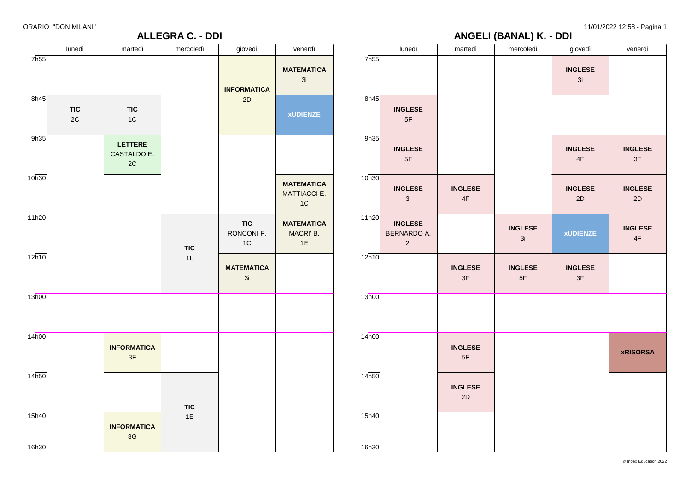# **ANGELI (BANAL) K. - DDI**

|       | lunedì                              | martedì              | mercoledì              | giovedì                         | venerdì              |
|-------|-------------------------------------|----------------------|------------------------|---------------------------------|----------------------|
| 7h55  |                                     |                      |                        | <b>INGLESE</b><br>3i            |                      |
| 8h45  | <b>INGLESE</b><br>$5\mathsf{F}$     |                      |                        |                                 |                      |
| 9h35  | <b>INGLESE</b><br>5F                |                      |                        | <b>INGLESE</b><br>$4\mathsf{F}$ | <b>INGLESE</b><br>3F |
| 10h30 | <b>INGLESE</b><br>3i                | <b>INGLESE</b><br>4F |                        | <b>INGLESE</b><br>2D            | <b>INGLESE</b><br>2D |
| 11h20 | <b>INGLESE</b><br>BERNARDO A.<br>21 |                      | <b>INGLESE</b><br>3i   | <b>xUDIENZE</b>                 | <b>INGLESE</b><br>4F |
| 12h10 |                                     | <b>INGLESE</b><br>3F | <b>INGLESE</b><br>$5F$ | <b>INGLESE</b><br>3F            |                      |
| 13h00 |                                     |                      |                        |                                 |                      |
| 14h00 |                                     | <b>INGLESE</b><br>5F |                        |                                 | <b>xRISORSA</b>      |
| 14h50 |                                     | <b>INGLESE</b><br>2D |                        |                                 |                      |
| 15h40 |                                     |                      |                        |                                 |                      |
| 16h30 |                                     |                      |                        |                                 |                      |

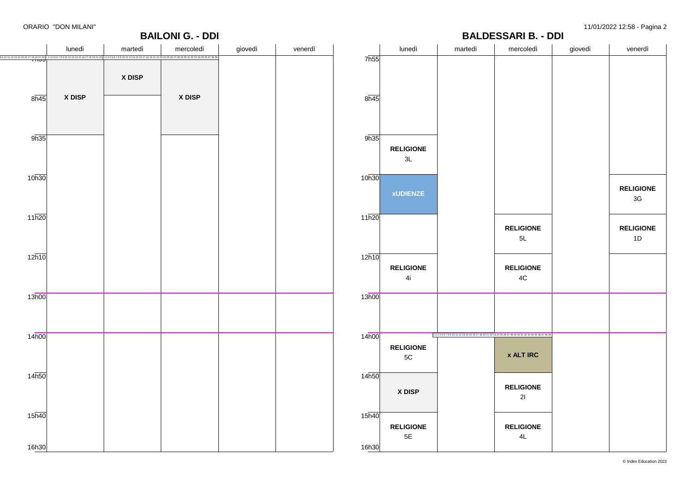**RELIGIONE** 3G

**RELIGIONE** 1D

#### **BALDESSARI B. - DDI**

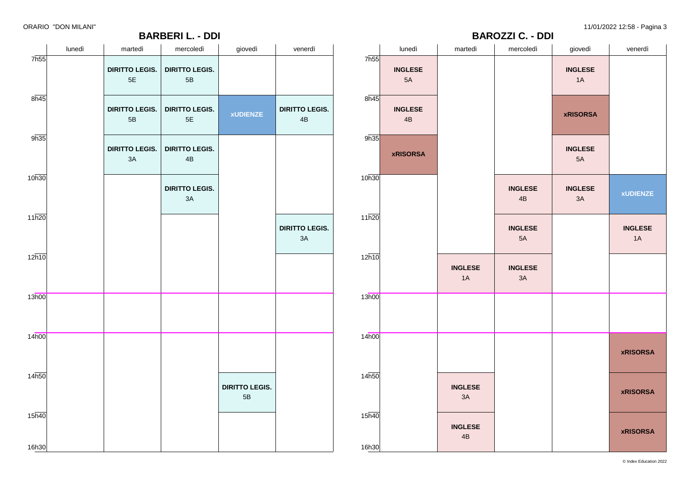**BARBERI L. - DDI**

ORARIO "DON MILANI" 11/01/2022 12:58 - Pagina 3

**xUDIENZE**

**INGLESE** 1A

**xRISORSA**

**xRISORSA**

**xRISORSA**

giovedì venerdì

**BAROZZI C. - DDI**

|                          | lunedì | martedì                                | mercoledì                              | giovedì                     | venerdì                       |                   | lunedì               | martedì                         | mercoledì                       | giovedì                |                  |
|--------------------------|--------|----------------------------------------|----------------------------------------|-----------------------------|-------------------------------|-------------------|----------------------|---------------------------------|---------------------------------|------------------------|------------------|
| $7\overline{\text{h}55}$ |        | <b>DIRITTO LEGIS.</b><br>$5\mathsf{E}$ | <b>DIRITTO LEGIS.</b><br>5B            |                             |                               | 7h55              | <b>INGLESE</b><br>5A |                                 |                                 | <b>INGLESE</b><br>1A   |                  |
| $8\overline{n45}$        |        | <b>DIRITTO LEGIS.</b><br>$5\mathsf{B}$ | <b>DIRITTO LEGIS.</b><br>$5\mathsf{E}$ | <b>xUDIENZE</b>             | <b>DIRITTO LEGIS.</b><br>4B   | $8\overline{n45}$ | <b>INGLESE</b><br>4B |                                 |                                 | <b>xRISORSA</b>        |                  |
| 9h35                     |        | <b>DIRITTO LEGIS.</b><br>3A            | <b>DIRITTO LEGIS.</b><br>$4\mathsf{B}$ |                             |                               | 9h35              | <b>xRISORSA</b>      |                                 |                                 | <b>INGLESE</b><br>5A   |                  |
| 10h30                    |        |                                        | <b>DIRITTO LEGIS.</b><br>$3A$          |                             |                               | 10h30             |                      |                                 | <b>INGLESE</b><br>$4\mathsf{B}$ | <b>INGLESE</b><br>$3A$ | $\mathbf{x}$     |
| 11h20                    |        |                                        |                                        |                             | <b>DIRITTO LEGIS.</b><br>$3A$ | 11h20             |                      |                                 | <b>INGLESE</b><br>$5A$          |                        | $\mathbf{I}$     |
| $12\overline{h10}$       |        |                                        |                                        |                             |                               | 12h10             |                      | <b>INGLESE</b><br>1A            | <b>INGLESE</b><br>3A            |                        |                  |
| 13h00                    |        |                                        |                                        |                             |                               | 13h00             |                      |                                 |                                 |                        |                  |
| 14 <sub>h00</sub>        |        |                                        |                                        |                             |                               | 14 <sub>h00</sub> |                      |                                 |                                 |                        | $\boldsymbol{x}$ |
| 14h50                    |        |                                        |                                        | <b>DIRITTO LEGIS.</b><br>5B |                               | 14h50             |                      | <b>INGLESE</b><br>3A            |                                 |                        | $\boldsymbol{x}$ |
| 15h40                    |        |                                        |                                        |                             |                               | 15h40             |                      | <b>INGLESE</b><br>$4\mathsf{B}$ |                                 |                        | $\boldsymbol{x}$ |
| 16h30                    |        |                                        |                                        |                             |                               | 16h30             |                      |                                 |                                 |                        |                  |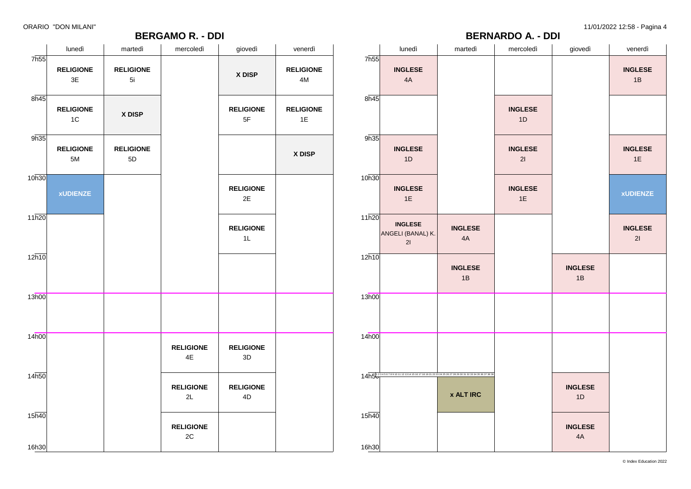# **BERGAMO R. - DDI**

ORARIO "DON MILANI" 11/01/2022 12:58 - Pagina 4

| $- - -$<br><b>BERNARDO A. - DDI</b> |                                                                                             |                      |                      |                      |                      |  |  |  |  |  |
|-------------------------------------|---------------------------------------------------------------------------------------------|----------------------|----------------------|----------------------|----------------------|--|--|--|--|--|
|                                     | lunedì                                                                                      | martedì              | mercoledì            | giovedì              | venerdì              |  |  |  |  |  |
| 7h55                                | <b>INGLESE</b><br>4A                                                                        |                      |                      |                      | <b>INGLESE</b><br>1B |  |  |  |  |  |
| 8h45                                |                                                                                             |                      | <b>INGLESE</b><br>1D |                      |                      |  |  |  |  |  |
| 9h35                                | <b>INGLESE</b><br>1D                                                                        |                      | <b>INGLESE</b><br>21 |                      | <b>INGLESE</b><br>1E |  |  |  |  |  |
| 10h30                               | <b>INGLESE</b><br>1E                                                                        |                      | <b>INGLESE</b><br>1E |                      | <b>xUDIENZE</b>      |  |  |  |  |  |
| 11h20                               | <b>INGLESE</b><br>ANGELI (BANAL) K.<br>21                                                   | <b>INGLESE</b><br>4A |                      |                      | <b>INGLESE</b><br>21 |  |  |  |  |  |
| 12h10                               |                                                                                             | <b>INGLESE</b><br>1B |                      | <b>INGLESE</b><br>1B |                      |  |  |  |  |  |
| 13h00                               |                                                                                             |                      |                      |                      |                      |  |  |  |  |  |
| 14h00                               |                                                                                             |                      |                      |                      |                      |  |  |  |  |  |
|                                     | 14h500 34567891011 121314151617181921 22 23 24 25 26 27 28 29 30 31 32 33 34 35 36 37 38 39 | <b>x ALT IRC</b>     |                      | <b>INGLESE</b><br>1D |                      |  |  |  |  |  |
| 15h40<br>16h30                      |                                                                                             |                      |                      | <b>INGLESE</b><br>4A |                      |  |  |  |  |  |

| lunedì<br>mercoledì<br>giovedì<br>venerdì<br>martedì<br>7h55<br><b>RELIGIONE</b><br><b>RELIGIONE</b><br>X DISP<br>3E<br>5i<br>4M<br>8h45<br><b>RELIGIONE</b><br><b>RELIGIONE</b><br>X DISP<br>$5\mathsf{F}$<br>$1\textrm{C}$<br>1E<br>9h35<br><b>RELIGIONE</b><br><b>RELIGIONE</b><br>X DISP<br>5M<br>5D<br>10h30<br><b>RELIGIONE</b><br><b>xUDIENZE</b><br>2E<br>11h20<br><b>RELIGIONE</b><br>1L<br>12h10 |  | <b>DENUAIVIU N. - DUI</b> |                  |
|------------------------------------------------------------------------------------------------------------------------------------------------------------------------------------------------------------------------------------------------------------------------------------------------------------------------------------------------------------------------------------------------------------|--|---------------------------|------------------|
|                                                                                                                                                                                                                                                                                                                                                                                                            |  |                           |                  |
|                                                                                                                                                                                                                                                                                                                                                                                                            |  |                           | <b>RELIGIONE</b> |
|                                                                                                                                                                                                                                                                                                                                                                                                            |  |                           | <b>RELIGIONE</b> |
|                                                                                                                                                                                                                                                                                                                                                                                                            |  |                           |                  |
|                                                                                                                                                                                                                                                                                                                                                                                                            |  |                           |                  |
|                                                                                                                                                                                                                                                                                                                                                                                                            |  |                           |                  |
|                                                                                                                                                                                                                                                                                                                                                                                                            |  |                           |                  |
| 13h00                                                                                                                                                                                                                                                                                                                                                                                                      |  |                           |                  |
| 14h00<br><b>RELIGIONE</b><br><b>RELIGIONE</b><br>4E<br>3D                                                                                                                                                                                                                                                                                                                                                  |  |                           |                  |
| 14 <sub>h50</sub><br><b>RELIGIONE</b><br><b>RELIGIONE</b><br>2L<br>4D                                                                                                                                                                                                                                                                                                                                      |  |                           |                  |
| 15h40<br><b>RELIGIONE</b><br>$2\mathrm{C}$<br>16h30                                                                                                                                                                                                                                                                                                                                                        |  |                           |                  |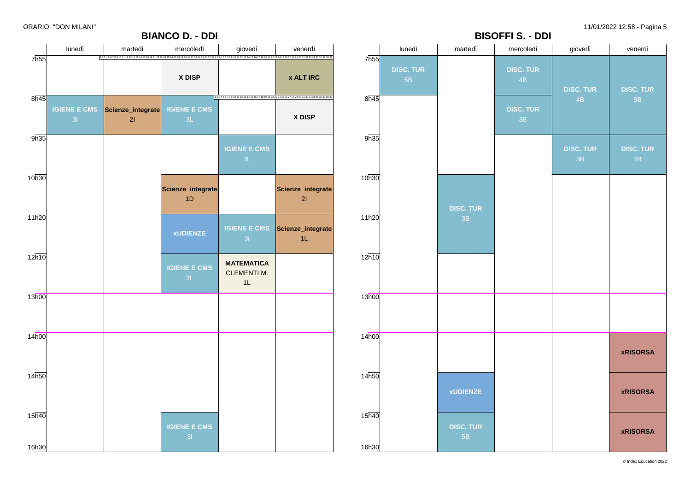



© Index Education 2022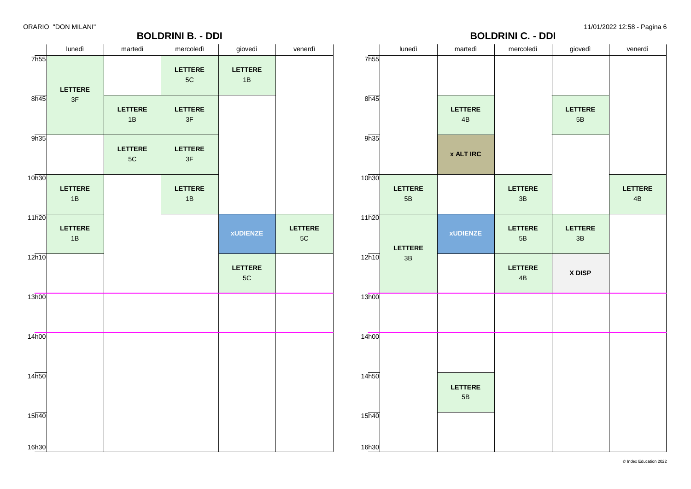#### **BOLDRINI B. - DDI**

|                | - -----<br>-⊸ - - - - -<br><b>BOLDRINI C. - DDI</b> |                      |                      |                          |                      |  |  |  |  |  |  |  |
|----------------|-----------------------------------------------------|----------------------|----------------------|--------------------------|----------------------|--|--|--|--|--|--|--|
| 7h55           | lunedì                                              | martedì              | mercoledì            | giovedì                  | venerdì              |  |  |  |  |  |  |  |
| 8h45           |                                                     | <b>LETTERE</b><br>4B |                      | LETTERE<br>$5\mathsf{B}$ |                      |  |  |  |  |  |  |  |
| 9h35           |                                                     | <b>x ALT IRC</b>     |                      |                          |                      |  |  |  |  |  |  |  |
| 10h30          | <b>LETTERE</b><br>$5\mathsf{B}$                     |                      | <b>LETTERE</b><br>3B |                          | <b>LETTERE</b><br>4B |  |  |  |  |  |  |  |
| 11h20          | <b>LETTERE</b>                                      | <b>xUDIENZE</b>      | <b>LETTERE</b><br>5B | LETTERE<br>3B            |                      |  |  |  |  |  |  |  |
| 12h10          | 3B                                                  |                      | <b>LETTERE</b><br>4B | X DISP                   |                      |  |  |  |  |  |  |  |
| 13h00          |                                                     |                      |                      |                          |                      |  |  |  |  |  |  |  |
| 14h00          |                                                     |                      |                      |                          |                      |  |  |  |  |  |  |  |
| 14h50          |                                                     | <b>LETTERE</b><br>5B |                      |                          |                      |  |  |  |  |  |  |  |
| 15h40<br>16h30 |                                                     |                      |                      |                          |                      |  |  |  |  |  |  |  |

|                             | lunedì               | martedì              | mercoledì                       | giovedì              | venerdì              |
|-----------------------------|----------------------|----------------------|---------------------------------|----------------------|----------------------|
| 7h55                        | <b>LETTERE</b>       |                      | <b>LETTERE</b><br>5C            | <b>LETTERE</b><br>1B |                      |
| $8\overline{h45}$           | 3F                   | <b>LETTERE</b><br>1B | <b>LETTERE</b><br>$3\mathsf{F}$ |                      |                      |
| 9h35                        |                      | <b>LETTERE</b><br>5C | <b>LETTERE</b><br>3F            |                      |                      |
| 10h30                       | <b>LETTERE</b><br>1B |                      | <b>LETTERE</b><br>1B            |                      |                      |
| $11\overline{h20}$          | <b>LETTERE</b><br>1B |                      |                                 | <b>xUDIENZE</b>      | <b>LETTERE</b><br>5C |
| 12h10                       |                      |                      |                                 | <b>LETTERE</b><br>5C |                      |
| 13h00                       |                      |                      |                                 |                      |                      |
| 14h00                       |                      |                      |                                 |                      |                      |
| 14h50                       |                      |                      |                                 |                      |                      |
| $15\overline{h40}$<br>16h30 |                      |                      |                                 |                      |                      |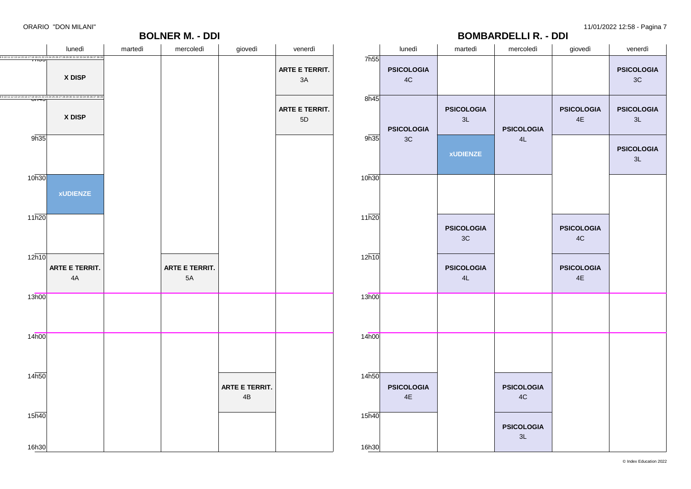

|                | lunedì                  | martedì                 | mercoledì               | giovedì                 | venerdì                            |  |
|----------------|-------------------------|-------------------------|-------------------------|-------------------------|------------------------------------|--|
| 7h55           | <b>PSICOLOGIA</b><br>4C |                         |                         |                         | <b>PSICOLOGIA</b><br>$3\mathrm{C}$ |  |
| 8h45           | <b>PSICOLOGIA</b>       | <b>PSICOLOGIA</b><br>3L | <b>PSICOLOGIA</b>       | <b>PSICOLOGIA</b><br>4E | <b>PSICOLOGIA</b><br>3L            |  |
| 9h35           | 3C                      | <b>xUDIENZE</b>         | 4L                      |                         | <b>PSICOLOGIA</b><br>3L            |  |
| 10h30          |                         |                         |                         |                         |                                    |  |
| 11h20          |                         | <b>PSICOLOGIA</b><br>3C |                         | <b>PSICOLOGIA</b><br>4C |                                    |  |
| 12h10          |                         | <b>PSICOLOGIA</b><br>4L |                         | <b>PSICOLOGIA</b><br>4E |                                    |  |
| 13h00          |                         |                         |                         |                         |                                    |  |
| 14h00          |                         |                         |                         |                         |                                    |  |
| 14h50          | <b>PSICOLOGIA</b><br>4E |                         | <b>PSICOLOGIA</b><br>4C |                         |                                    |  |
| 15h40<br>16h30 |                         |                         | <b>PSICOLOGIA</b><br>3L |                         |                                    |  |

**BOMBARDELLI R. - DDI**

© Index Education 2022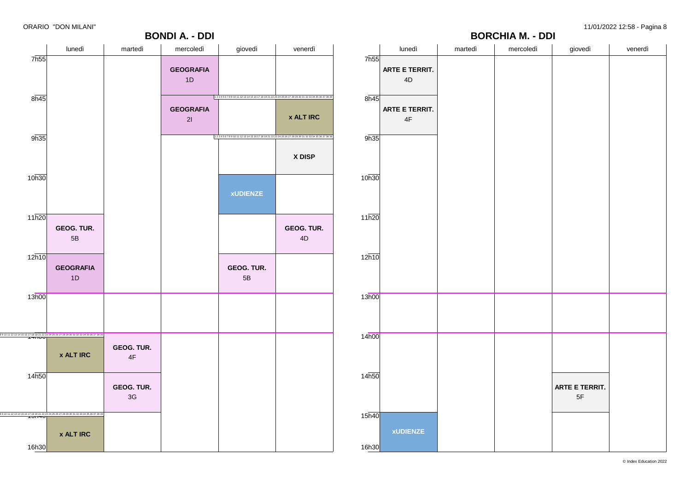#### **BORCHIA M. - DDI**

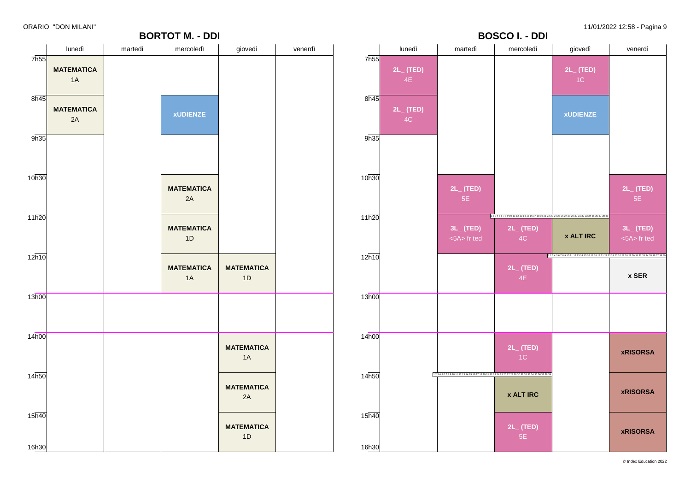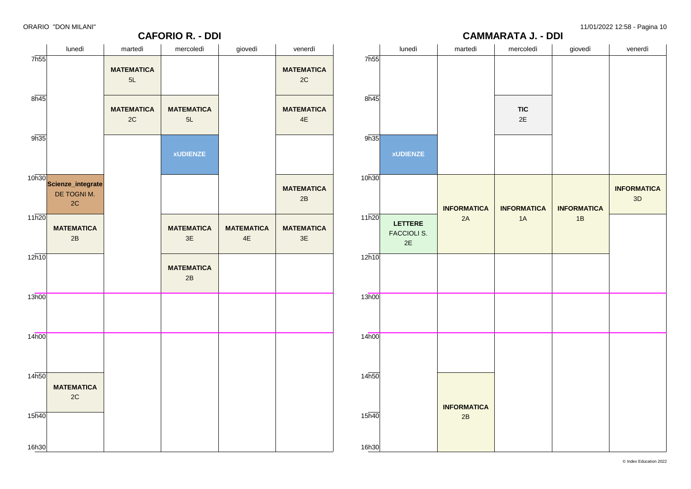# **CAMMARATA J. - DDI**

|                    | lunedì                                                     | martedì                 | mercoledì                 | giovedì                            | venerdì                            |                    | lunedì                                     | martedì            | mercoledì          | giovedì            | venerdì                  |
|--------------------|------------------------------------------------------------|-------------------------|---------------------------|------------------------------------|------------------------------------|--------------------|--------------------------------------------|--------------------|--------------------|--------------------|--------------------------|
| 7 <sub>h55</sub>   |                                                            | <b>MATEMATICA</b><br>5L |                           |                                    | <b>MATEMATICA</b><br>2C            | 7h55               |                                            |                    |                    |                    |                          |
| 8h45               |                                                            | <b>MATEMATICA</b><br>2C | <b>MATEMATICA</b><br>5L   |                                    | <b>MATEMATICA</b><br>$4\mathsf{E}$ | 8h45               |                                            |                    | <b>TIC</b><br>2E   |                    |                          |
| 9h35               |                                                            |                         | <b>xUDIENZE</b>           |                                    |                                    | 9h35               | <b>xUDIENZE</b>                            |                    |                    |                    |                          |
|                    | 10h30<br>Scienze_integrate<br>DE TOGNI M.<br>$2\mathrm{C}$ |                         |                           |                                    | <b>MATEMATICA</b><br>2B            | 10h30              |                                            | <b>INFORMATICA</b> | <b>INFORMATICA</b> | <b>INFORMATICA</b> | <b>INFORMATICA</b><br>3D |
| 11h20              | <b>MATEMATICA</b><br>2B                                    |                         | <b>MATEMATICA</b><br>$3E$ | <b>MATEMATICA</b><br>$4\mathsf{E}$ | <b>MATEMATICA</b><br>3E            | 11h20              | <b>LETTERE</b><br><b>FACCIOLI S.</b><br>2E | 2A                 | 1A                 | 1B                 |                          |
| $12\overline{h10}$ |                                                            |                         | <b>MATEMATICA</b><br>2B   |                                    |                                    | 12h10              |                                            |                    |                    |                    |                          |
| 13h00              |                                                            |                         |                           |                                    |                                    | 13h00              |                                            |                    |                    |                    |                          |
| 14 <sub>h00</sub>  |                                                            |                         |                           |                                    |                                    | 14 <sub>h00</sub>  |                                            |                    |                    |                    |                          |
| 14h50              | <b>MATEMATICA</b><br>2C                                    |                         |                           |                                    |                                    | 14h50              |                                            | <b>INFORMATICA</b> |                    |                    |                          |
| 15 <sub>h40</sub>  |                                                            |                         |                           |                                    |                                    | $15\overline{h40}$ |                                            | 2B                 |                    |                    |                          |
| 16h30              |                                                            |                         |                           |                                    |                                    | 16h30              |                                            |                    |                    |                    |                          |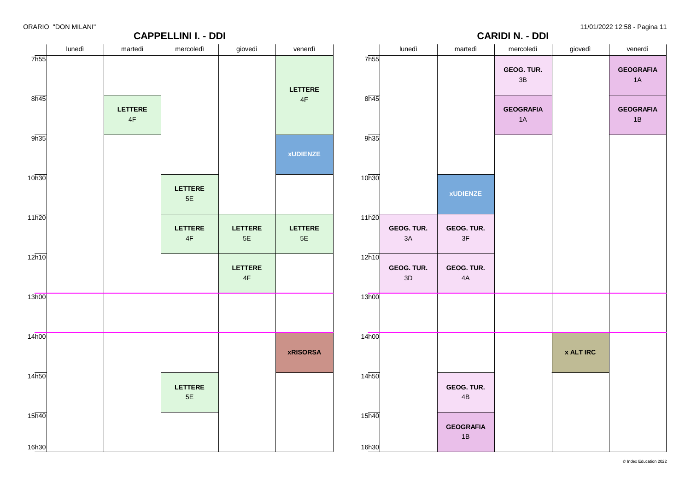

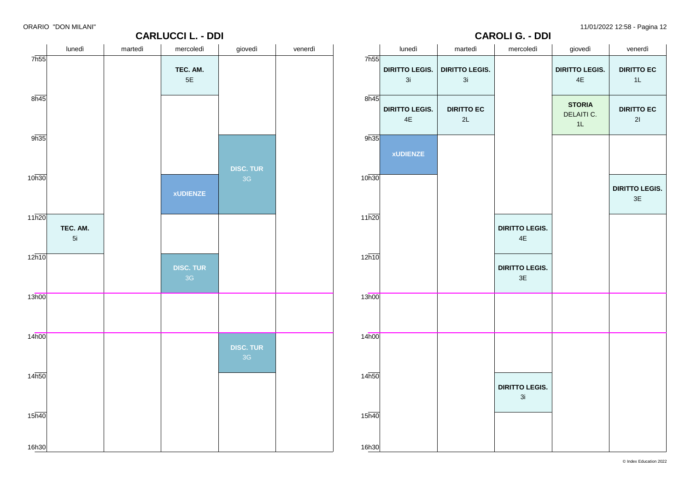**DIRITTO EC** 1L

**DIRITTO EC** 2I

**DIRITTO LEGIS.**3E

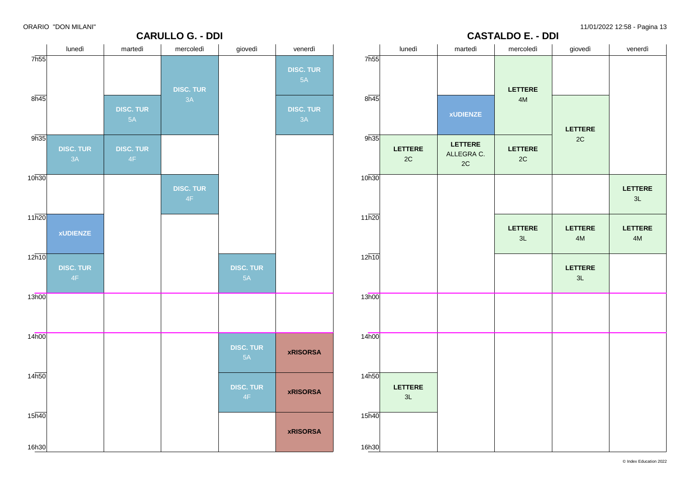|                   | UNANIU DUN MILANI      |                        | <b>CARULLO G. - DDI</b> |                        |                  |                   |                                 |                                               | <b>CASTALDO E. - DDI</b> |                        | 11/01/2022 12.00 - Fayina 10    |
|-------------------|------------------------|------------------------|-------------------------|------------------------|------------------|-------------------|---------------------------------|-----------------------------------------------|--------------------------|------------------------|---------------------------------|
|                   | lunedì                 | martedì                | mercoledì               | giovedì                | venerdì          |                   | lunedì                          | martedì                                       | mercoledì                | giovedì                | venerdì                         |
| 7h55              |                        |                        |                         |                        | <b>DISC. TUR</b> | 7h55              |                                 |                                               |                          |                        |                                 |
|                   |                        |                        | <b>DISC. TUR</b>        |                        | 5A               |                   |                                 |                                               | <b>LETTERE</b>           |                        |                                 |
| 8h45              |                        | <b>DISC. TUR</b>       | 3A                      |                        | <b>DISC. TUR</b> | 8h45              |                                 | <b>xUDIENZE</b>                               | $4M$                     |                        |                                 |
|                   |                        | 5A                     |                         |                        | 3A               |                   |                                 |                                               |                          | <b>LETTERE</b>         |                                 |
| 9h35              | <b>DISC. TUR</b><br>3A | <b>DISC. TUR</b><br>4F |                         |                        |                  | 9h35              | <b>LETTERE</b><br>$2\mathtt{C}$ | <b>LETTERE</b><br>ALLEGRA C.<br>$2\mathtt{C}$ | LETTERE<br>$2\mathtt{C}$ | $2\mathtt{C}$          |                                 |
| 10h30             |                        |                        | <b>DISC. TUR</b><br>4F  |                        |                  | 10h30             |                                 |                                               |                          |                        | <b>LETTERE</b><br>$3\mathsf{L}$ |
| 11h20             |                        |                        |                         |                        |                  | 11h20             |                                 |                                               |                          |                        |                                 |
|                   | <b>xUDIENZE</b>        |                        |                         |                        |                  |                   |                                 |                                               | <b>LETTERE</b><br>3L     | <b>LETTERE</b><br>$4M$ | <b>LETTERE</b><br>4M            |
| 12h10             | <b>DISC. TUR</b>       |                        |                         | <b>DISC. TUR</b>       |                  | 12h10             |                                 |                                               |                          | <b>LETTERE</b>         |                                 |
|                   | 4F                     |                        |                         | 5A                     |                  |                   |                                 |                                               |                          | 3L                     |                                 |
| 13h00             |                        |                        |                         |                        |                  | 13h00             |                                 |                                               |                          |                        |                                 |
| 14h00             |                        |                        |                         |                        |                  | 14 <sub>h00</sub> |                                 |                                               |                          |                        |                                 |
|                   |                        |                        |                         | <b>DISC. TUR</b><br>5A | <b>xRISORSA</b>  |                   |                                 |                                               |                          |                        |                                 |
| 14 <sub>h50</sub> |                        |                        |                         | <b>DISC. TUR</b>       | <b>xRISORSA</b>  | 14h50             | <b>LETTERE</b>                  |                                               |                          |                        |                                 |
|                   |                        |                        |                         | 4F                     |                  |                   | 3L                              |                                               |                          |                        |                                 |
| 15h40             |                        |                        |                         |                        | <b>xRISORSA</b>  | 15 <sub>h40</sub> |                                 |                                               |                          |                        |                                 |
| 16h30             |                        |                        |                         |                        |                  | 16h30             |                                 |                                               |                          |                        |                                 |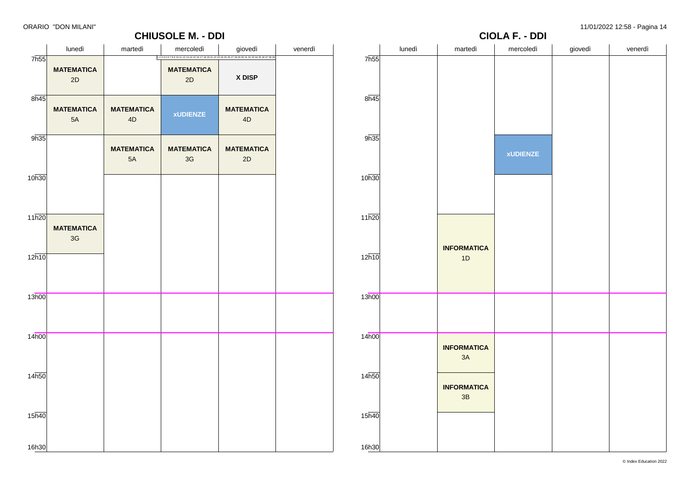2D

7h55

### **CHIUSOLE M. - DDI** lunedì | martedì | mercoledì | giovedì | venerdì **MATEMATICA MATEMATICA** 2D 1 2 3 4 5 6 7 8 9 10 11 12 13 14 15 16 17 18 19 21 22 23 24 25 26 27 28 29 30 31 32 33 34 35 36 37 38 39

**X DISP**

| $8\overline{h45}$ |                                    |                         |                         |                         |
|-------------------|------------------------------------|-------------------------|-------------------------|-------------------------|
|                   | <b>MATEMATICA</b><br>5A            | <b>MATEMATICA</b><br>4D | <b>xUDIENZE</b>         | <b>MATEMATICA</b><br>4D |
| 9h35              |                                    | <b>MATEMATICA</b><br>5A | <b>MATEMATICA</b><br>3G | <b>MATEMATICA</b><br>2D |
| 10h30             |                                    |                         |                         |                         |
| 11h20             | <b>MATEMATICA</b><br>$3\mathsf{G}$ |                         |                         |                         |
| 12h10             |                                    |                         |                         |                         |
| 13h00             |                                    |                         |                         |                         |
| 14h00             |                                    |                         |                         |                         |
| 14 <sub>h50</sub> |                                    |                         |                         |                         |
| 15 <sub>h40</sub> |                                    |                         |                         |                         |
| 16h30             |                                    |                         |                         |                         |

|       |        |                          | <b>CIOLA F. - DDI</b> | $\cdot$ , $\cdot$ , $\cdot$ , $\cdot$ | $- - - -$ |
|-------|--------|--------------------------|-----------------------|---------------------------------------|-----------|
| 7h55  | lunedì | martedì                  | mercoledì             | giovedì                               | venerdì   |
|       |        |                          |                       |                                       |           |
| 8h45  |        |                          |                       |                                       |           |
| 9h35  |        |                          | <b>xUDIENZE</b>       |                                       |           |
| 10h30 |        |                          |                       |                                       |           |
| 11h20 |        |                          |                       |                                       |           |
| 12h10 |        | <b>INFORMATICA</b><br>1D |                       |                                       |           |
| 13h00 |        |                          |                       |                                       |           |
| 14h00 |        | <b>INFORMATICA</b><br>3A |                       |                                       |           |
| 14h50 |        | <b>INFORMATICA</b><br>3B |                       |                                       |           |
| 15h40 |        |                          |                       |                                       |           |
| 16h30 |        |                          |                       |                                       |           |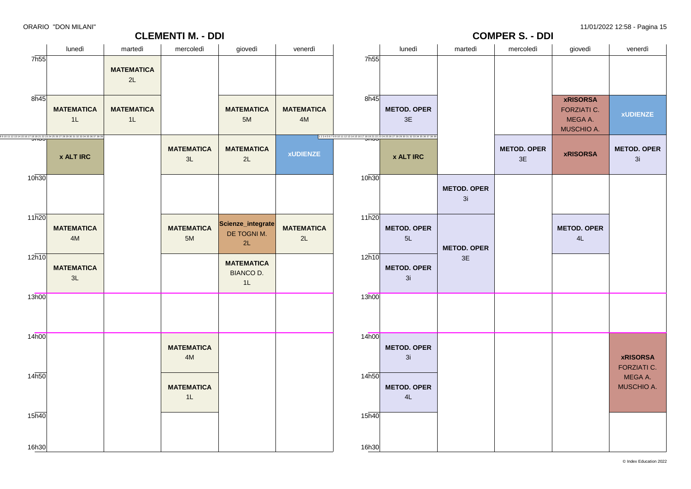16h30

|                    |                                                                                                                                        |                         | <b>CLEMENTI M. - DDI</b>  |                                             |                         |                    | . ., <del>.</del> ., _ . _ . _ . _<br><b>COMPER S. - DDI</b>                            |                          |                          |                                                                |                                       |  |
|--------------------|----------------------------------------------------------------------------------------------------------------------------------------|-------------------------|---------------------------|---------------------------------------------|-------------------------|--------------------|-----------------------------------------------------------------------------------------|--------------------------|--------------------------|----------------------------------------------------------------|---------------------------------------|--|
|                    | lunedì                                                                                                                                 | martedì                 | mercoledì                 | giovedì                                     | venerdì                 |                    | lunedì                                                                                  | martedì                  | mercoledì                | giovedì                                                        | venerdì                               |  |
| 7 <sub>h55</sub>   |                                                                                                                                        | <b>MATEMATICA</b><br>2L |                           |                                             |                         | 7h55               |                                                                                         |                          |                          |                                                                |                                       |  |
| 8h45               | <b>MATEMATICA</b><br>1L                                                                                                                | <b>MATEMATICA</b><br>1L |                           | <b>MATEMATICA</b><br>5M                     | <b>MATEMATICA</b><br>4M | 8h45               | <b>METOD. OPER</b><br>3E                                                                |                          |                          | <b>xRISORSA</b><br><b>FORZIATI C.</b><br>MEGA A.<br>MUSCHIO A. | <b>xUDIENZE</b>                       |  |
|                    | 8 9 10 11 12 13 14 15 16 17 18 19 21 22 23 24 25 26 27 28 29 30 31 32 33 34 35 36 37 38 39<br><del>JII J J J</del><br><b>x ALT IRC</b> |                         | <b>MATEMATICA</b><br>$3L$ | <b>MATEMATICA</b><br>2L                     | <b>xUDIENZE</b>         |                    | 1234567891011121314151617181921222324252627282930313233343536373839<br><b>x ALT IRC</b> |                          | <b>METOD. OPER</b><br>3E | <b>xRISORSA</b>                                                | <b>METOD. OPER</b><br>3i              |  |
| 10h30              |                                                                                                                                        |                         |                           |                                             |                         | 10h30              |                                                                                         | <b>METOD. OPER</b><br>3i |                          |                                                                |                                       |  |
| $11\overline{h20}$ | <b>MATEMATICA</b><br>4M                                                                                                                |                         | <b>MATEMATICA</b><br>5M   | Scienze_integrate<br>DE TOGNI M.<br>2L      | <b>MATEMATICA</b><br>2L | $11\overline{h20}$ | <b>METOD. OPER</b><br>5L                                                                | <b>METOD. OPER</b>       |                          | <b>METOD. OPER</b><br>4L                                       |                                       |  |
| 12h10              | <b>MATEMATICA</b><br>3L                                                                                                                |                         |                           | <b>MATEMATICA</b><br><b>BIANCO D.</b><br>1L |                         | 12h10              | <b>METOD. OPER</b><br>3i                                                                | $3E$                     |                          |                                                                |                                       |  |
| 13h00              |                                                                                                                                        |                         |                           |                                             |                         | 13h00              |                                                                                         |                          |                          |                                                                |                                       |  |
| 14h00              |                                                                                                                                        |                         | <b>MATEMATICA</b><br>$4M$ |                                             |                         | 14h00              | <b>METOD. OPER</b><br>3i                                                                |                          |                          |                                                                | <b>xRISORSA</b><br><b>FORZIATI C.</b> |  |
| 14 <sub>h50</sub>  |                                                                                                                                        |                         | <b>MATEMATICA</b><br>1L   |                                             |                         | 14 <sub>h50</sub>  | <b>METOD. OPER</b><br>4L                                                                |                          |                          |                                                                | MEGA A.<br>MUSCHIO A.                 |  |
| 15 <sub>h40</sub>  |                                                                                                                                        |                         |                           |                                             |                         | $15\overline{h40}$ |                                                                                         |                          |                          |                                                                |                                       |  |

16h30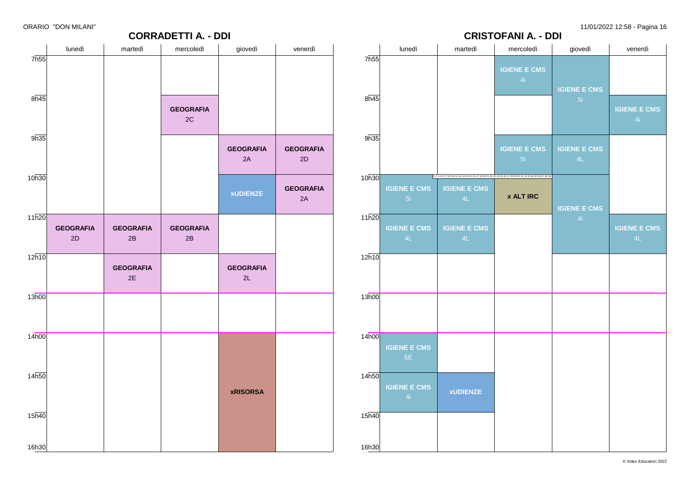# **CRISTOFANI A. - DDI**

|                   |                        |                        | <b>CORRADETTI A. - DDI</b> |                        |                        |       |              |
|-------------------|------------------------|------------------------|----------------------------|------------------------|------------------------|-------|--------------|
|                   | lunedì                 | martedì                | mercoledì                  | giovedì                | venerdì                | 7h55  |              |
| 7h55              |                        |                        |                            |                        |                        |       |              |
| 8h45              |                        |                        | <b>GEOGRAFIA</b><br>2C     |                        |                        | 8h45  |              |
| 9h35              |                        |                        |                            | <b>GEOGRAFIA</b><br>2A | <b>GEOGRAFIA</b><br>2D | 9h35  |              |
| 10h30             |                        |                        |                            | <b>xUDIENZE</b>        | <b>GEOGRAFIA</b><br>2A | 10h30 | $\mathsf{R}$ |
| 11h20             | <b>GEOGRAFIA</b><br>2D | <b>GEOGRAFIA</b><br>2B | <b>GEOGRAFIA</b><br>2B     |                        |                        | 11h20 | К            |
| 12h10             |                        | <b>GEOGRAFIA</b><br>2E |                            | <b>GEOGRAFIA</b><br>2L |                        | 12h10 |              |
| 13h00             |                        |                        |                            |                        |                        | 13h00 |              |
| 14h00             |                        |                        |                            |                        |                        | 14h00 | $\mathsf{R}$ |
| 14h50             |                        |                        |                            | <b>xRISORSA</b>        |                        | 14h50 | К            |
| 15 <sub>h40</sub> |                        |                        |                            |                        |                        | 15h40 |              |
| 16h30             |                        |                        |                            |                        |                        | 16h30 |              |

|       | lunedì                    | martedì                                                                                                 | mercoledì                 | giovedì                   | venerdì                   |  |
|-------|---------------------------|---------------------------------------------------------------------------------------------------------|---------------------------|---------------------------|---------------------------|--|
| 7h55  |                           |                                                                                                         | <b>IGIENE E CMS</b><br>4i | <b>IGIENE E CMS</b>       |                           |  |
| 8h45  |                           |                                                                                                         |                           | 5i                        | <b>IGIENE E CMS</b><br>4i |  |
| 9h35  |                           |                                                                                                         | <b>IGIENE E CMS</b><br>5i | <b>IGIENE E CMS</b><br>4L |                           |  |
| 10h30 |                           | 1 2 3 4 5 6 7 8 9 10 11 12 13 14 15 16 17 18 19 21 22 23 24 25 26 27 28 29 30 31 32 33 34 35 36 37 38 3 |                           |                           |                           |  |
|       | <b>IGIENE E CMS</b><br>5i | <b>IGIENE E CMS</b><br>4L                                                                               | <b>x ALT IRC</b>          | <b>IGIENE E CMS</b>       |                           |  |
| 11h20 | <b>IGIENE E CMS</b><br>4L | <b>IGIENE E CMS</b><br>4L                                                                               |                           | 4i                        | <b>IGIENE E CMS</b><br>4L |  |
| 12h10 |                           |                                                                                                         |                           |                           |                           |  |
| 13h00 |                           |                                                                                                         |                           |                           |                           |  |
| 14h00 | <b>IGIENE E CMS</b><br>5E |                                                                                                         |                           |                           |                           |  |
| 14h50 | <b>IGIENE E CMS</b><br>4i | <b>xUDIENZE</b>                                                                                         |                           |                           |                           |  |
| 15h40 |                           |                                                                                                         |                           |                           |                           |  |
| 16h30 |                           |                                                                                                         |                           |                           |                           |  |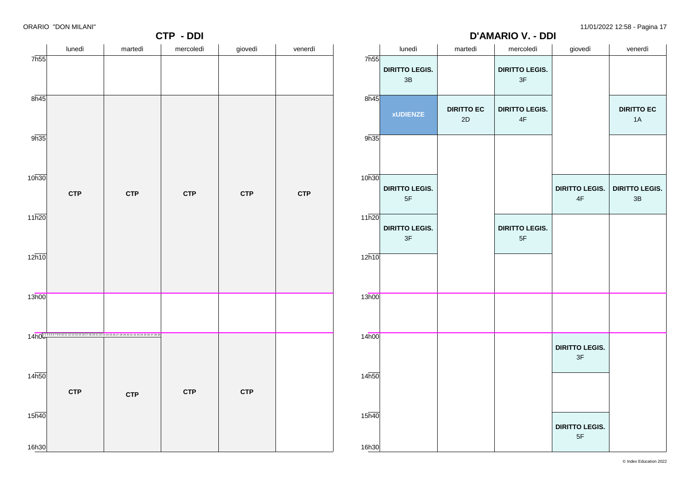# **D'AMARIO V. - DDI**

|                   |            |                                                                             | CTP - DDI  |            |            | ັ<br><b>D'AMARIO V. - DDI</b> |                             |                   |                                        |                       |                       |
|-------------------|------------|-----------------------------------------------------------------------------|------------|------------|------------|-------------------------------|-----------------------------|-------------------|----------------------------------------|-----------------------|-----------------------|
|                   | lunedì     | martedì                                                                     | mercoledì  | giovedì    | venerdì    |                               | lunedì                      | martedì           | mercoledì                              | giovedì               | venerdì               |
| 7h55              |            |                                                                             |            |            |            | 7h55                          |                             |                   |                                        |                       |                       |
|                   |            |                                                                             |            |            |            |                               | <b>DIRITTO LEGIS.</b><br>3B |                   | <b>DIRITTO LEGIS.</b><br>$3\mathsf{F}$ |                       |                       |
|                   |            |                                                                             |            |            |            |                               |                             |                   |                                        |                       |                       |
| 8h45              |            |                                                                             |            |            |            | 8h45                          |                             |                   |                                        |                       |                       |
|                   |            |                                                                             |            |            |            |                               | <b>xUDIENZE</b>             | <b>DIRITTO EC</b> | <b>DIRITTO LEGIS.</b>                  |                       | <b>DIRITTO EC</b>     |
|                   |            |                                                                             |            |            |            |                               |                             | 2D                | $4\mathsf{F}$                          |                       | 1A                    |
| 9h35              |            |                                                                             |            |            |            | 9h35                          |                             |                   |                                        |                       |                       |
|                   |            |                                                                             |            |            |            |                               |                             |                   |                                        |                       |                       |
|                   |            |                                                                             |            |            |            |                               |                             |                   |                                        |                       |                       |
| 10h30             |            |                                                                             |            |            |            | 10h30                         |                             |                   |                                        |                       |                       |
|                   | <b>CTP</b> | <b>CTP</b>                                                                  | <b>CTP</b> | <b>CTP</b> | <b>CTP</b> |                               | <b>DIRITTO LEGIS.</b>       |                   |                                        | <b>DIRITTO LEGIS.</b> | <b>DIRITTO LEGIS.</b> |
|                   |            |                                                                             |            |            |            |                               | $5F$                        |                   |                                        | 4F                    | $3B$                  |
| 11h20             |            |                                                                             |            |            |            | 11h20                         |                             |                   |                                        |                       |                       |
|                   |            |                                                                             |            |            |            |                               | <b>DIRITTO LEGIS.</b>       |                   | <b>DIRITTO LEGIS.</b>                  |                       |                       |
|                   |            |                                                                             |            |            |            |                               | 3F                          |                   | $5\mathsf{F}$                          |                       |                       |
| 12h10             |            |                                                                             |            |            |            | 12h10                         |                             |                   |                                        |                       |                       |
|                   |            |                                                                             |            |            |            |                               |                             |                   |                                        |                       |                       |
|                   |            |                                                                             |            |            |            |                               |                             |                   |                                        |                       |                       |
| 13h00             |            |                                                                             |            |            |            | 13h00                         |                             |                   |                                        |                       |                       |
|                   |            |                                                                             |            |            |            |                               |                             |                   |                                        |                       |                       |
|                   |            |                                                                             |            |            |            |                               |                             |                   |                                        |                       |                       |
|                   |            | 14h0073456789101112131415161718192122324252827282930313233343536373839<br>1 |            |            |            | 14 <sub>h00</sub>             |                             |                   |                                        |                       |                       |
|                   |            |                                                                             |            |            |            |                               |                             |                   |                                        | <b>DIRITTO LEGIS.</b> |                       |
|                   |            |                                                                             |            |            |            |                               |                             |                   |                                        | 3F                    |                       |
| 14 <sub>h50</sub> |            |                                                                             |            |            |            | 14h50                         |                             |                   |                                        |                       |                       |
|                   | <b>CTP</b> |                                                                             | <b>CTP</b> | <b>CTP</b> |            |                               |                             |                   |                                        |                       |                       |
|                   |            | <b>CTP</b>                                                                  |            |            |            |                               |                             |                   |                                        |                       |                       |
| 15 <sub>h40</sub> |            |                                                                             |            |            |            | 15h40                         |                             |                   |                                        |                       |                       |
|                   |            |                                                                             |            |            |            |                               |                             |                   |                                        | <b>DIRITTO LEGIS.</b> |                       |
|                   |            |                                                                             |            |            |            |                               |                             |                   |                                        | 5F                    |                       |
| 16h30             |            |                                                                             |            |            |            | 16h30                         |                             |                   |                                        |                       |                       |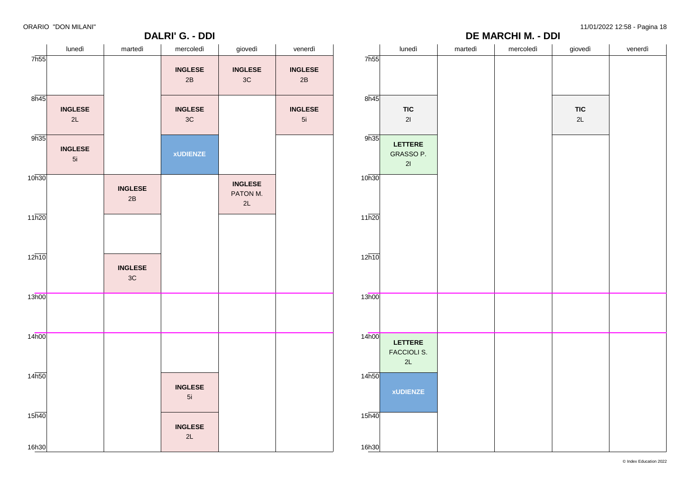7h55

 $8\overline{h45}$ 

 $9h35$ 

10h30

 $11h20$ 

12h10

13h00

14h00

14h50

15h40

16h30

# **DALRI' G. - DDI**

ORARIO "DON MILANI" 11/01/2022 12:58 - Pagina 18

**DE MARCHI M. - DDI**

| lunedì               | martedì                         | mercoledì            | giovedì                          | venerdì                         |                             | lunedì                       | martedì | mercoledì | giovedì          | venerdì |
|----------------------|---------------------------------|----------------------|----------------------------------|---------------------------------|-----------------------------|------------------------------|---------|-----------|------------------|---------|
|                      |                                 | <b>INGLESE</b><br>2B | <b>INGLESE</b><br>$3\mathrm{C}$  | <b>INGLESE</b><br>$2\mathsf{B}$ | 7h55                        |                              |         |           |                  |         |
| <b>INGLESE</b><br>2L |                                 | <b>INGLESE</b><br>3C |                                  | <b>INGLESE</b><br>5i            | $8\overline{h45}$           | <b>TIC</b><br>$21$           |         |           | <b>TIC</b><br>2L |         |
| <b>INGLESE</b><br>5i |                                 | <b>xUDIENZE</b>      |                                  |                                 | 9h35                        | LETTERE<br>GRASSO P.<br>21   |         |           |                  |         |
|                      | <b>INGLESE</b><br>$2\mathsf{B}$ |                      | <b>INGLESE</b><br>PATON M.<br>2L |                                 | 10h30                       |                              |         |           |                  |         |
|                      |                                 |                      |                                  |                                 | 11h20                       |                              |         |           |                  |         |
|                      | <b>INGLESE</b><br>$3\mathrm{C}$ |                      |                                  |                                 | 12h10                       |                              |         |           |                  |         |
|                      |                                 |                      |                                  |                                 | 13h00                       |                              |         |           |                  |         |
|                      |                                 |                      |                                  |                                 | 14h00                       | LETTERE<br>FACCIOLI S.<br>2L |         |           |                  |         |
|                      |                                 | <b>INGLESE</b><br>5i |                                  |                                 | 14h50                       | <b>xUDIENZE</b>              |         |           |                  |         |
|                      |                                 | <b>INGLESE</b><br>2L |                                  |                                 | $15\overline{h40}$<br>16h30 |                              |         |           |                  |         |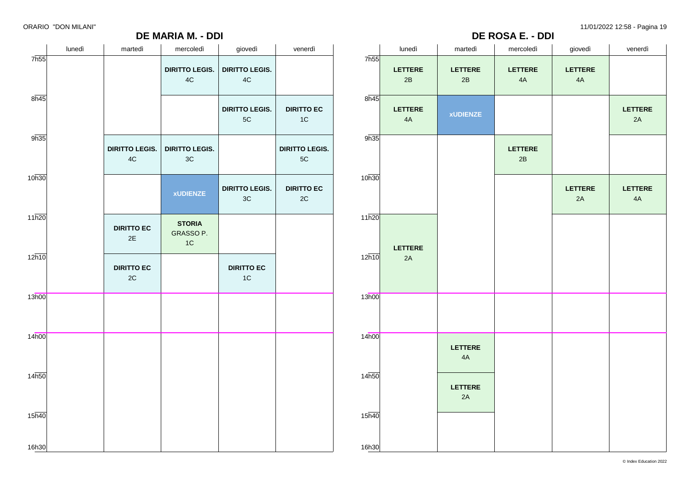# **DE MARIA M. - DDI**

|      | <b>DE ROSA E. - DDI</b> |     |
|------|-------------------------|-----|
| tedì | mercoledì               | gic |

|                            | lunedì | martedì                                | mercoledì                              | giovedì                                | venerdì                            |                            | lunedì        | martedì              | mercoledì            | giovedì                | venerdì              |
|----------------------------|--------|----------------------------------------|----------------------------------------|----------------------------------------|------------------------------------|----------------------------|---------------|----------------------|----------------------|------------------------|----------------------|
| 7 <sub>h55</sub>           |        |                                        | <b>DIRITTO LEGIS.</b><br>$4\mathrm{C}$ | <b>DIRITTO LEGIS.</b><br>$4\mathrm{C}$ |                                    | 7 <sub>h55</sub>           | LETTERE<br>2B | <b>LETTERE</b><br>2B | <b>LETTERE</b><br>4A | <b>LETTERE</b><br>$4A$ |                      |
| 8h45                       |        |                                        |                                        | <b>DIRITTO LEGIS.</b><br>$5\mathrm{C}$ | <b>DIRITTO EC</b><br>$1C$          | 8h45                       | LETTERE<br>4A | <b>xUDIENZE</b>      |                      |                        | <b>LETTERE</b><br>2A |
| 9h35                       |        | <b>DIRITTO LEGIS.</b><br>$4\mathrm{C}$ | <b>DIRITTO LEGIS.</b><br>3C            |                                        | <b>DIRITTO LEGIS.</b><br>$5C$      | 9h35                       |               |                      | LETTERE<br>2B        |                        |                      |
| 10h30                      |        |                                        | <b>xUDIENZE</b>                        | <b>DIRITTO LEGIS.</b><br>$3\mathrm{C}$ | <b>DIRITTO EC</b><br>$2\mathrm{C}$ | 10h30                      |               |                      |                      | LETTERE<br>2A          | LETTERE<br>4A        |
| 11h20                      |        | <b>DIRITTO EC</b><br>2E                | <b>STORIA</b><br>GRASSO P.<br>1C       |                                        |                                    | 11h20                      | LETTERE       |                      |                      |                        |                      |
| $12\overline{h10}$         |        | <b>DIRITTO EC</b><br>2C                |                                        | <b>DIRITTO EC</b><br>$1C$              |                                    | 12h10                      | 2A            |                      |                      |                        |                      |
| 13h00                      |        |                                        |                                        |                                        |                                    | 13h00                      |               |                      |                      |                        |                      |
| 14h00                      |        |                                        |                                        |                                        |                                    | 14 <sub>h00</sub>          |               | <b>LETTERE</b><br>4A |                      |                        |                      |
| 14h50                      |        |                                        |                                        |                                        |                                    | 14h50                      |               | LETTERE<br>2A        |                      |                        |                      |
| 15 <sub>h40</sub><br>16h30 |        |                                        |                                        |                                        |                                    | 15 <sub>h40</sub><br>16h30 |               |                      |                      |                        |                      |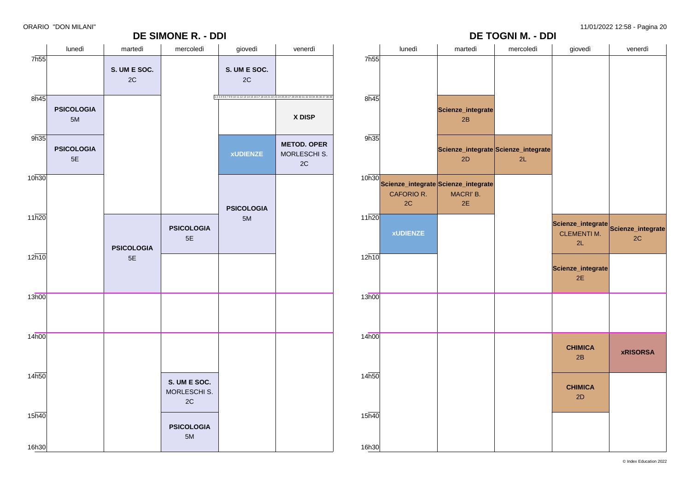# **DE SIMONE R. - DDI**

ORARIO "DON MILANI" 11/01/2022 12:58 - Pagina 20

|                   |                           |                    | <b>DE SIMONE R. - DDI</b>                     |                    |                                                                                                          |                   |                  |                                                              | <b>DE TOGNI M. - DDI</b>                  |                                                                 |                 |
|-------------------|---------------------------|--------------------|-----------------------------------------------|--------------------|----------------------------------------------------------------------------------------------------------|-------------------|------------------|--------------------------------------------------------------|-------------------------------------------|-----------------------------------------------------------------|-----------------|
|                   | lunedì                    | martedì            | mercoledì                                     | giovedì            | venerdì                                                                                                  |                   | lunedì           | martedì                                                      | mercoledì                                 | giovedì                                                         | venerdì         |
| 7 <sub>h55</sub>  |                           | S. UM E SOC.<br>2C |                                               | S. UM E SOC.<br>2C |                                                                                                          | 7 <sub>h55</sub>  |                  |                                                              |                                           |                                                                 |                 |
| $8\overline{h45}$ |                           |                    |                                               |                    | 1 2 3 4 5 6 7 8 9 10 11 12 13 14 15 16 17 18 19 21 22 23 24 25 26 27 28 29 30 31 32 33 34 35 36 37 38 39 | 8h45              |                  |                                                              |                                           |                                                                 |                 |
|                   | <b>PSICOLOGIA</b><br>$5M$ |                    |                                               |                    | X DISP                                                                                                   |                   |                  | Scienze_integrate<br>2B                                      |                                           |                                                                 |                 |
| 9h35              | <b>PSICOLOGIA</b><br>5E   |                    |                                               | <b>xUDIENZE</b>    | <b>METOD. OPER</b><br>MORLESCHI S.<br>$2\mathtt{C}$                                                      | 9h35              |                  | 2D                                                           | Scienze_integrate Scienze_integrate<br>2L |                                                                 |                 |
| 10h30             |                           |                    |                                               | <b>PSICOLOGIA</b>  |                                                                                                          |                   | CAFORIO R.<br>2C | 10h30 Scienze_integrate Scienze_integrate<br>MACRI' B.<br>2E |                                           |                                                                 |                 |
| 11h20             |                           | <b>PSICOLOGIA</b>  | <b>PSICOLOGIA</b><br>$5E$                     | 5M                 |                                                                                                          | 11h20             | <b>xUDIENZE</b>  |                                                              |                                           | Scienze_integrate Scienze_integrate<br><b>CLEMENTI M.</b><br>2L | 2C              |
| 12h10             |                           | $5E$               |                                               |                    |                                                                                                          | 12h10             |                  |                                                              |                                           | Scienze_integrate<br>2E                                         |                 |
| 13h00             |                           |                    |                                               |                    |                                                                                                          | 13h00             |                  |                                                              |                                           |                                                                 |                 |
| 14h00             |                           |                    |                                               |                    |                                                                                                          | 14 <sub>h00</sub> |                  |                                                              |                                           | <b>CHIMICA</b><br>2B                                            | <b>xRISORSA</b> |
| 14h50             |                           |                    | S. UM E SOC.<br>MORLESCHI S.<br>$2\mathtt{C}$ |                    |                                                                                                          | 14h50             |                  |                                                              |                                           | <b>CHIMICA</b><br>2D                                            |                 |
| 15 <sub>h40</sub> |                           |                    | <b>PSICOLOGIA</b><br>5M                       |                    |                                                                                                          | 15h40             |                  |                                                              |                                           |                                                                 |                 |
| 16h30             |                           |                    |                                               |                    |                                                                                                          | 16h30             |                  |                                                              |                                           |                                                                 |                 |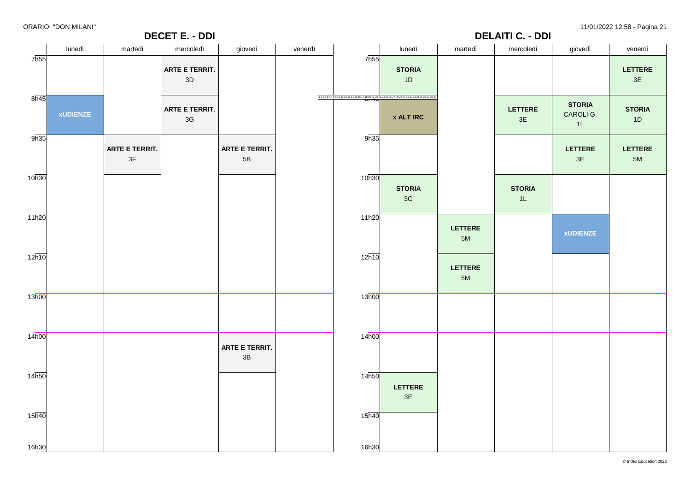| .                  | ________        |                      | <b>DECET E. - DDI</b>  |                                 |         |                   |                                                                                         |                        | <b>DELAITI C. - DDI</b> |                                  |                        |
|--------------------|-----------------|----------------------|------------------------|---------------------------------|---------|-------------------|-----------------------------------------------------------------------------------------|------------------------|-------------------------|----------------------------------|------------------------|
|                    | lunedì          | martedì              | mercoledì              | giovedì                         | venerdì |                   | lunedì                                                                                  | martedì                | mercoledì               | giovedì                          | venerdì                |
| 7 <sub>h55</sub>   |                 |                      | ARTE E TERRIT.<br>3D   |                                 |         | 7 <sub>h55</sub>  | <b>STORIA</b><br>1D                                                                     |                        |                         |                                  | LETTERE<br>3E          |
| 8h45               | <b>xUDIENZE</b> |                      | ARTE E TERRIT.<br>$3G$ |                                 |         |                   | 1234567891011121314151617181921222334252627282930313233343536373839<br><b>x ALT IRC</b> |                        | LETTERE<br>$3E$         | <b>STORIA</b><br>CAROLI G.<br>1L | <b>STORIA</b><br>1D    |
| 9h35               |                 | ARTE E TERRIT.<br>3F |                        | ARTE E TERRIT.<br>$5\mathsf{B}$ |         | 9h35              |                                                                                         |                        |                         | <b>LETTERE</b><br>3E             | <b>LETTERE</b><br>$5M$ |
| 10 <sub>h30</sub>  |                 |                      |                        |                                 |         | 10h30             | <b>STORIA</b><br>3G                                                                     |                        | <b>STORIA</b><br>1L     |                                  |                        |
| 11h20              |                 |                      |                        |                                 |         | 11h20             |                                                                                         | <b>LETTERE</b><br>$5M$ |                         | <b>xUDIENZE</b>                  |                        |
| 12h10              |                 |                      |                        |                                 |         | 12h10             |                                                                                         | LETTERE<br>5M          |                         |                                  |                        |
| 13h00              |                 |                      |                        |                                 |         | 13h00             |                                                                                         |                        |                         |                                  |                        |
| 14h00              |                 |                      |                        | ARTE E TERRIT.<br>$3B$          |         | 14 <sub>h00</sub> |                                                                                         |                        |                         |                                  |                        |
| 14 <sub>h50</sub>  |                 |                      |                        |                                 |         | 14h50             | LETTERE<br>$3E$                                                                         |                        |                         |                                  |                        |
| $15\overline{h40}$ |                 |                      |                        |                                 |         | 15h40             |                                                                                         |                        |                         |                                  |                        |
| 16h30              |                 |                      |                        |                                 |         | 16h30             |                                                                                         |                        |                         |                                  |                        |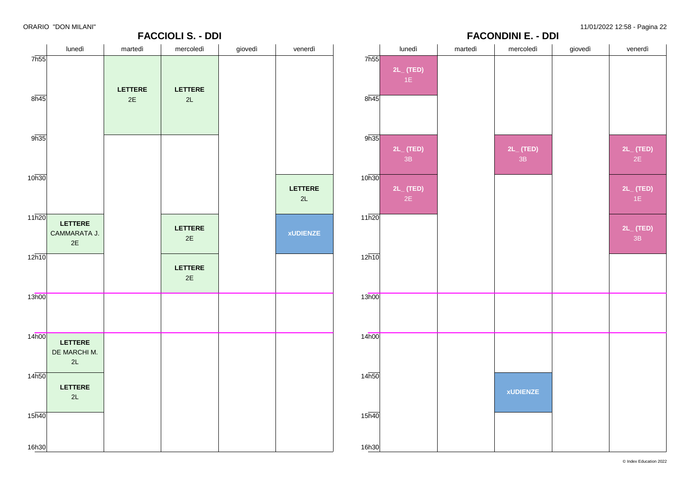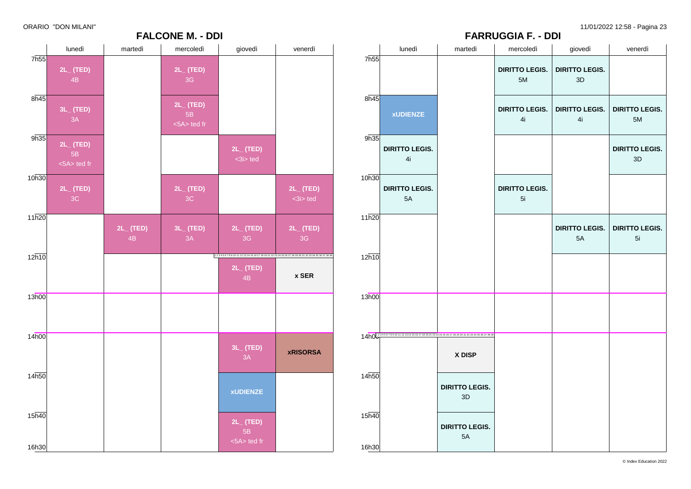11/01/2022 12:58 - Pagina 23

# **FARRUGGIA F. - DDI**

| ORARIO "DON MILANI" |  |  |  |
|---------------------|--|--|--|
|---------------------|--|--|--|

|                             |                                       |                      | וטש - וויו ברוטטבא ו                         |                                       |                                                                             |                |                                                                                                      | י הוזוגע                    |   |
|-----------------------------|---------------------------------------|----------------------|----------------------------------------------|---------------------------------------|-----------------------------------------------------------------------------|----------------|------------------------------------------------------------------------------------------------------|-----------------------------|---|
|                             | lunedì                                | martedì              | mercoledì                                    | giovedì                               | venerdì                                                                     |                | lunedì                                                                                               | martedì                     |   |
| 7 <sub>h55</sub>            | $2L_{-}$ (TED)<br>4B                  |                      | $2L_{-}$ (TED)<br>3G                         |                                       |                                                                             | 7h55           |                                                                                                      |                             | D |
| 8h45                        | $3L_{-}$ (TED)<br>3A                  |                      | $2L_{-}$ (TED)<br>5B<br>$\leq$ 5A $>$ ted fr |                                       |                                                                             | 8h45           | <b>xUDIENZE</b>                                                                                      |                             | D |
| 9h35                        | $2L_{-}$ (TED)<br>5B<br>$<5A>$ ted fr |                      |                                              | $2L_{-}$ (TED)<br>$3i$ ted            |                                                                             | 9h35           | <b>DIRITTO LEGIS.</b><br>4i                                                                          |                             |   |
| 10h30                       | $2L_{-}$ (TED)<br>3C                  |                      | $2L_{-}$ (TED)<br>3C                         |                                       | $2L_{-}$ (TED)<br>$3i$ ted                                                  | 10h30          | <b>DIRITTO LEGIS.</b><br>5A                                                                          |                             | D |
| 11h20                       |                                       | $2L_{-}$ (TED)<br>4B | $3L_{-}$ (TED)<br>3A                         | $2L_{-}$ (TED)<br>3 <sub>G</sub>      | $2L_{-}$ (TED)<br>3G                                                        | 11h20          |                                                                                                      |                             |   |
| 12h10                       |                                       |                      |                                              | $2L_{-}$ (TED)<br>4B                  | 123456789101112131415161718192122232425262728293031323343536373839<br>x SER | 12h10          |                                                                                                      |                             |   |
| 13h00                       |                                       |                      |                                              |                                       |                                                                             | 13h00          |                                                                                                      |                             |   |
| 14h00                       |                                       |                      |                                              | $3L_{-}$ (TED)<br>3A                  | <b>xRISORSA</b>                                                             |                | 14h01234567891011 121314151617181921 22324 2526 27 28 29 30 31 32 33 34 35 36 37 38 36<br>1 4 h0 0 1 | X DISP                      |   |
| 14 <sub>h50</sub>           |                                       |                      |                                              | <b>xUDIENZE</b>                       |                                                                             | 14h50          |                                                                                                      | <b>DIRITTO LEGIS.</b><br>3D |   |
| $15\overline{h40}$<br>16h30 |                                       |                      |                                              | $2L_{-}$ (TED)<br>5B<br>$<5A>$ ted fr |                                                                             | 15h40<br>16h30 |                                                                                                      | <b>DIRITTO LEGIS.</b><br>5A |   |

**FALCONE M. - DDI**

|      | martedì                                                                     | mercoledì                   | giovedì                     | venerdì                     |
|------|-----------------------------------------------------------------------------|-----------------------------|-----------------------------|-----------------------------|
|      |                                                                             | <b>DIRITTO LEGIS.</b><br>5M | <b>DIRITTO LEGIS.</b><br>3D |                             |
| Έ    |                                                                             | <b>DIRITTO LEGIS.</b><br>4i | <b>DIRITTO LEGIS.</b><br>4i | <b>DIRITTO LEGIS.</b><br>5M |
| GIS. |                                                                             |                             |                             | <b>DIRITTO LEGIS.</b><br>3D |
| GIS. |                                                                             | <b>DIRITTO LEGIS.</b><br>5i |                             |                             |
|      |                                                                             |                             | <b>DIRITTO LEGIS.</b><br>5A | <b>DIRITTO LEGIS.</b><br>5i |
|      |                                                                             |                             |                             |                             |
|      |                                                                             |                             |                             |                             |
|      | 17 18 19 21 22 23 24 25 26 27 28 29 30 31 32 33 34 35 36 37 38 39<br>X DISP |                             |                             |                             |
|      | <b>DIRITTO LEGIS.</b><br>3D                                                 |                             |                             |                             |
|      | <b>DIRITTO LEGIS.</b><br>5A                                                 |                             |                             |                             |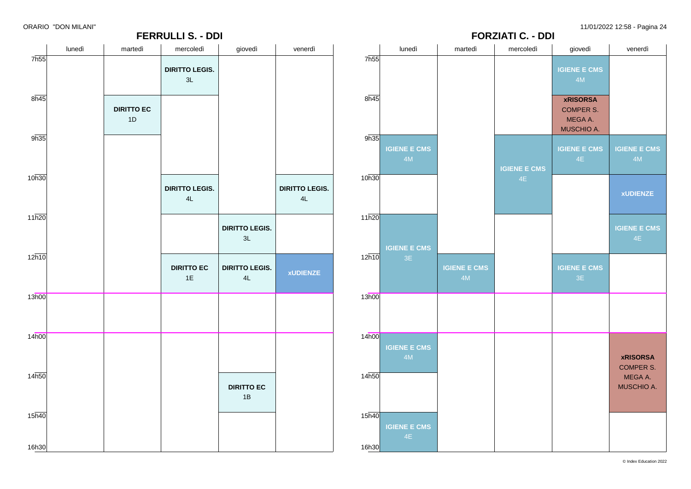



**FERRULLI S. - DDI**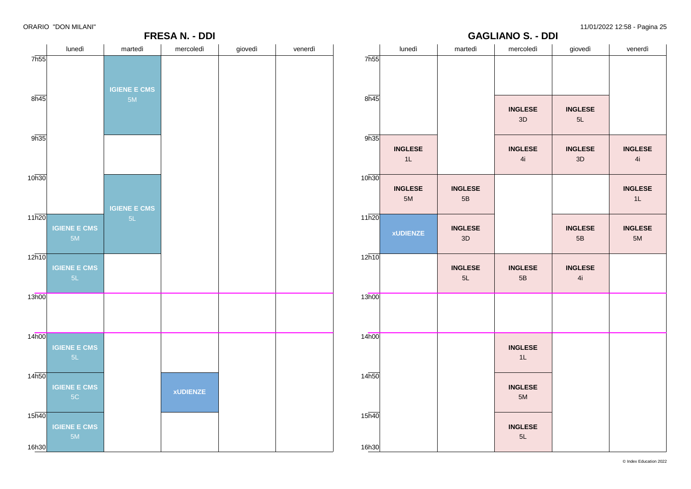## **GAGLIANO S. - DDI**



|                    | lunedì               | martedì              | mercoledì            | giovedì              | venerdì              |
|--------------------|----------------------|----------------------|----------------------|----------------------|----------------------|
| 7h55               |                      |                      |                      |                      |                      |
|                    |                      |                      |                      |                      |                      |
| 8h45               |                      |                      |                      |                      |                      |
|                    |                      |                      | <b>INGLESE</b><br>3D | <b>INGLESE</b><br>5L |                      |
| 9h35               |                      |                      |                      |                      |                      |
|                    | <b>INGLESE</b><br>1L |                      | <b>INGLESE</b><br>4i | <b>INGLESE</b><br>3D | <b>INGLESE</b><br>4i |
| 10h30              |                      |                      |                      |                      |                      |
|                    | <b>INGLESE</b><br>5M | <b>INGLESE</b><br>5B |                      |                      | <b>INGLESE</b><br>1L |
| 11h20              |                      | <b>INGLESE</b>       |                      | <b>INGLESE</b>       | <b>INGLESE</b>       |
|                    | <b>xUDIENZE</b>      | 3D                   |                      | 5B                   | 5M                   |
| 12h10              |                      |                      |                      |                      |                      |
|                    |                      | <b>INGLESE</b><br>5L | <b>INGLESE</b><br>5B | <b>INGLESE</b><br>4i |                      |
| 13h00              |                      |                      |                      |                      |                      |
|                    |                      |                      |                      |                      |                      |
| 14h00              |                      |                      |                      |                      |                      |
|                    |                      |                      | <b>INGLESE</b><br>1L |                      |                      |
| 14h50              |                      |                      |                      |                      |                      |
|                    |                      |                      | <b>INGLESE</b><br>5M |                      |                      |
| $15\overline{h40}$ |                      |                      | <b>INGLESE</b>       |                      |                      |
|                    |                      |                      | 5L                   |                      |                      |
| 16h30              |                      |                      |                      |                      |                      |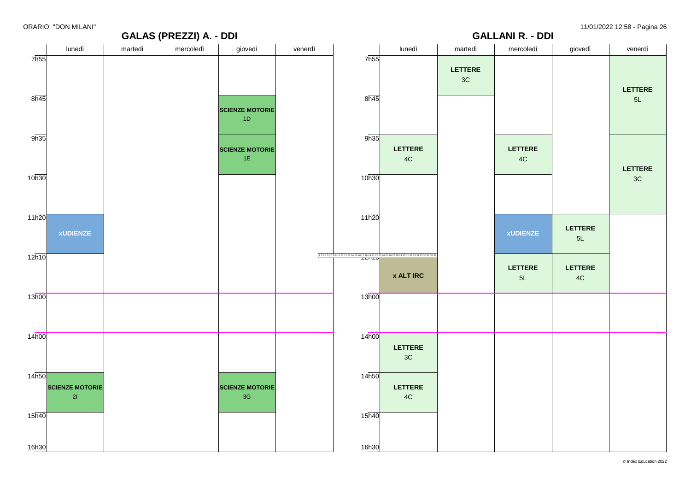#### **GALAS (PREZZI) A. - DDI** lunedì martedì mercoledì giovedì venerdì 7h55  $8h45$ 9h35 10h30 11h20  $12h10$ 13h00 14h00 14h50 15h40 16h30 **xUDIENZE SCIENZE MOTORIE** 2I **SCIENZE MOTORIE** 1D **SCIENZE MOTORIE** 1E **SCIENZE MOTORIE** 3G **GALLANI R. - DDI** lunedì martedì mercoledì giovedì venerdì 7h55 8h45 9h35 10h30 11h20 12 3 4 5 6 7 8 9 10 11 12 13 14 15 16 17 18 19 21 22 23 24 25 26 27 28 29 30 31 32 33 34 35 36 37 38 39<br>**IZITTU** 13h00 14h00 14h50  $15\overline{h40}$ 16h30 **LETTERE** 4C **x ALT IRC LETTERE** 3C **LETTERE** 4C **LETTERE** 3C **LETTERE** 4C **xUDIENZE LETTERE**  $5l$ **LETTERE** 5L **LETTERE** 4C **LETTERE** 5L **LETTERE** 3C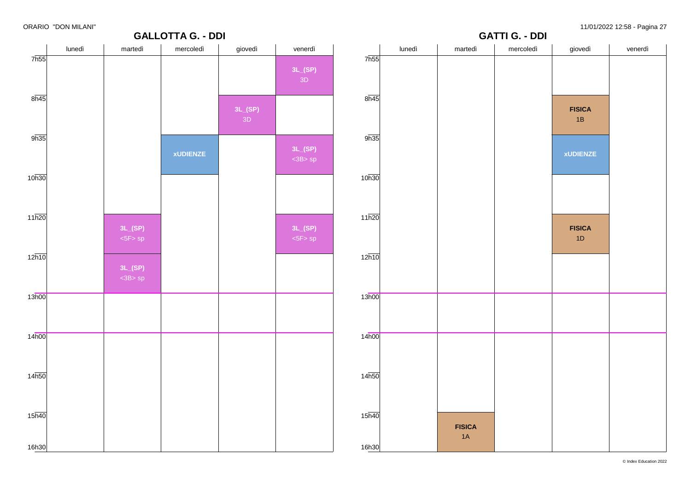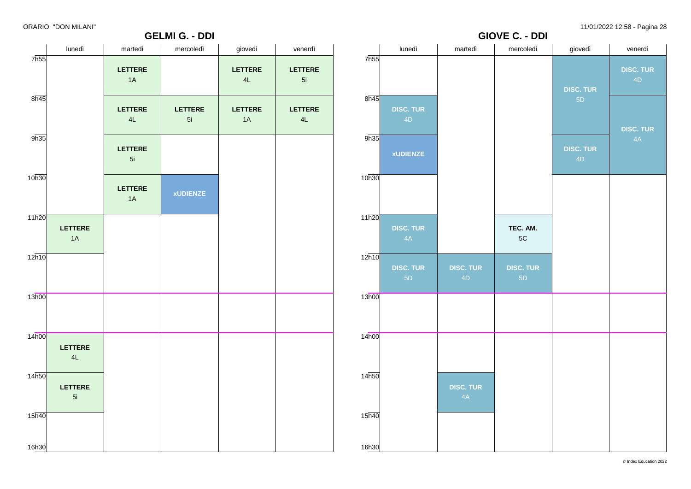### **GELMI G. - DDI**

ORARIO "DON MILANI" 11/01/2022 12:58 - Pagina 28



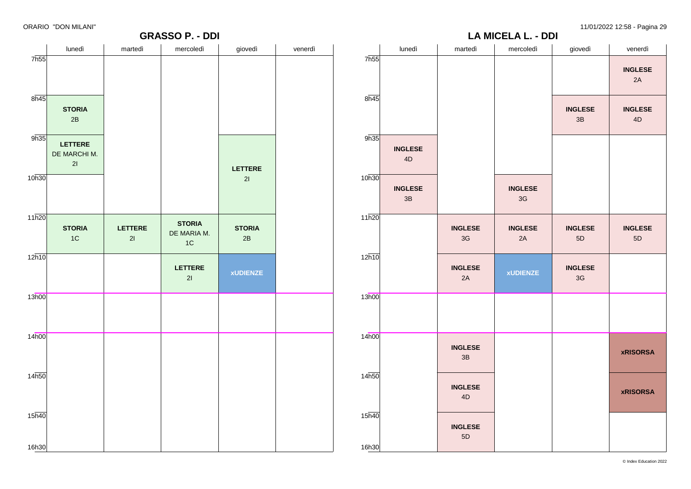**GRASSO P. - DDI**

**LA MICELA L. - DDI**

|                             | lunedì                               | martedì              | mercoledì                          | giovedì             | venerdì |                             | lunedì                          | martedì                         | mercoledì                       | giovedì              | venerdì                         |
|-----------------------------|--------------------------------------|----------------------|------------------------------------|---------------------|---------|-----------------------------|---------------------------------|---------------------------------|---------------------------------|----------------------|---------------------------------|
| 7h55                        |                                      |                      |                                    |                     |         | 7h55                        |                                 |                                 |                                 |                      | <b>INGLESE</b><br>2A            |
| $8\overline{h45}$           | <b>STORIA</b><br>2B                  |                      |                                    |                     |         | 8h45                        |                                 |                                 |                                 | <b>INGLESE</b><br>3B | <b>INGLESE</b><br>$4\mathsf{D}$ |
| 9h35                        | <b>LETTERE</b><br>DE MARCHI M.<br>21 |                      |                                    | LETTERE             |         | 9h35                        | <b>INGLESE</b><br>$4\mathsf{D}$ |                                 |                                 |                      |                                 |
| 10h30                       |                                      |                      |                                    | 21                  |         | 10h30                       | <b>INGLESE</b><br>$3\mathsf{B}$ |                                 | <b>INGLESE</b><br>$3\mathsf{G}$ |                      |                                 |
| 11h20                       | <b>STORIA</b><br>$1C$                | <b>LETTERE</b><br>21 | <b>STORIA</b><br>DE MARIA M.<br>1C | <b>STORIA</b><br>2B |         | 11h20                       |                                 | <b>INGLESE</b><br>$3\mathsf{G}$ | <b>INGLESE</b><br>2A            | <b>INGLESE</b><br>5D | <b>INGLESE</b><br>$5\mathsf{D}$ |
| 12h10                       |                                      |                      | <b>LETTERE</b><br>21               | <b>xUDIENZE</b>     |         | 12h10                       |                                 | <b>INGLESE</b><br>2A            | <b>xUDIENZE</b>                 | <b>INGLESE</b><br>3G |                                 |
| 13h00                       |                                      |                      |                                    |                     |         | 13h00                       |                                 |                                 |                                 |                      |                                 |
| 14 <sub>h00</sub>           |                                      |                      |                                    |                     |         | 14 <sub>h00</sub>           |                                 | <b>INGLESE</b><br>3B            |                                 |                      | <b>xRISORSA</b>                 |
| 14h50                       |                                      |                      |                                    |                     |         | 14h50                       |                                 | <b>INGLESE</b><br>4D            |                                 |                      | <b>xRISORSA</b>                 |
| $15\overline{h40}$<br>16h30 |                                      |                      |                                    |                     |         | $15\overline{h40}$<br>16h30 |                                 | <b>INGLESE</b><br>5D            |                                 |                      |                                 |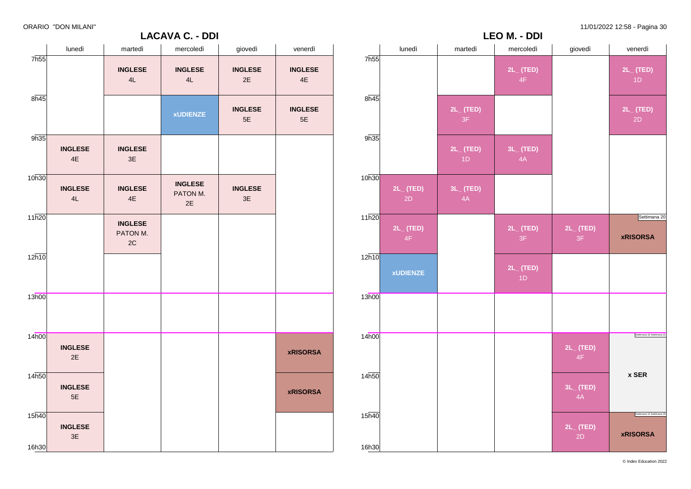# **LACAVA C. - DDI**

ORARIO "DON MILANI" 11/01/2022 12:58 - Pagina 30

|       | lunedì          | martedì              | mercoledì            | giovedì              | venerdì                                      |
|-------|-----------------|----------------------|----------------------|----------------------|----------------------------------------------|
| 7h55  |                 |                      | $2L_{-}$ (TED)<br>4F |                      | $2L_{-}$ (TED)<br>1D                         |
| 8h45  |                 | $2L_{-}$ (TED)<br>3F |                      |                      | $2L_{-}$ (TED)<br>2D                         |
| 9h35  |                 | $2L_{-}$ (TED)<br>1D | 3L_ (TED)<br>4A      |                      |                                              |
| 10h30 | 2L_(TED)<br>2D  | 3L_ (TED)<br>4A      |                      |                      |                                              |
| 11h20 | 2L_ (TED)<br>4F |                      | $2L_{-}$ (TED)<br>3F | 2L_ (TED)<br>3F      | Settimana 20<br><b>xRISORSA</b>              |
| 12h10 | <b>xUDIENZE</b> |                      | $2L_{-}$ (TED)<br>1D |                      |                                              |
| 13h00 |                 |                      |                      |                      |                                              |
| 14h00 |                 |                      |                      | $2L_{-}$ (TED)<br>4F | Settimana 19 Settimana 21                    |
| 14h50 |                 |                      |                      | 3L_ (TED)<br>4A      | x SER                                        |
| 15h40 |                 |                      |                      | 2L_ (TED)<br>2D      | Settimana 12 Settimana 20<br><b>xRISORSA</b> |

**LEO M. - DDI**

|                             |                      |                                  | LACAVA C. - DDI                  |                      |                                 |
|-----------------------------|----------------------|----------------------------------|----------------------------------|----------------------|---------------------------------|
|                             | lunedì               | martedì                          | mercoledì                        | giovedì              | venerdì                         |
| 7h55                        |                      | <b>INGLESE</b><br>4L             | <b>INGLESE</b><br>4L             | <b>INGLESE</b><br>2E | <b>INGLESE</b><br>4E            |
| $8\overline{h45}$           |                      |                                  | <b>xUDIENZE</b>                  | <b>INGLESE</b><br>5E | <b>INGLESE</b><br>$5\mathsf{E}$ |
| 9h35                        | <b>INGLESE</b><br>4E | <b>INGLESE</b><br>3E             |                                  |                      |                                 |
| 10h30                       | <b>INGLESE</b><br>4L | <b>INGLESE</b><br>4E             | <b>INGLESE</b><br>PATON M.<br>2E | <b>INGLESE</b><br>3E |                                 |
| 11h20                       |                      | <b>INGLESE</b><br>PATON M.<br>2C |                                  |                      |                                 |
| 12h10                       |                      |                                  |                                  |                      |                                 |
| 13h00                       |                      |                                  |                                  |                      |                                 |
| 14h00                       | <b>INGLESE</b><br>2E |                                  |                                  |                      | <b>xRISORSA</b>                 |
| 14h50                       | <b>INGLESE</b><br>5E |                                  |                                  |                      | <b>xRISORSA</b>                 |
| $15\overline{h40}$<br>16h30 | <b>INGLESE</b><br>3E |                                  |                                  |                      |                                 |

© Index Education 2022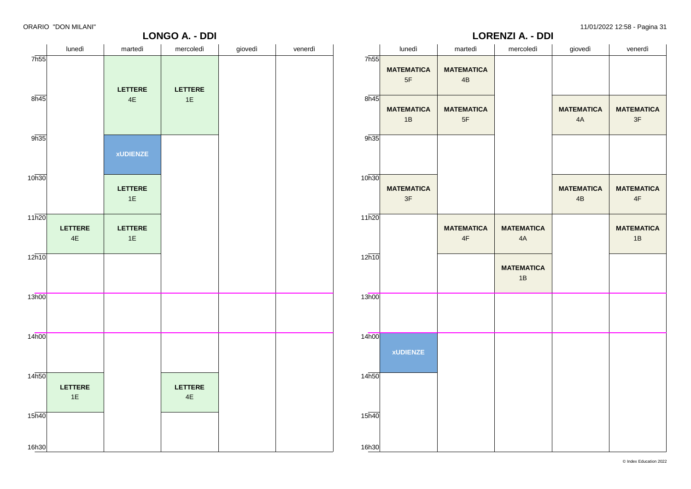# **LORENZI A. - DDI**

| DRARIO "DON MILANI" |  |  |
|---------------------|--|--|
|                     |  |  |

|                          |                 | <b>LONGO A. - DDI</b>           |                |         |       |                         |                                    | <b>LORENZI A. - DDI</b> |                         |                                    |
|--------------------------|-----------------|---------------------------------|----------------|---------|-------|-------------------------|------------------------------------|-------------------------|-------------------------|------------------------------------|
| lunedì                   | martedì         | mercoledì                       | giovedì        | venerdì |       | lunedì                  | martedì                            | mercoledì               | giovedì                 | venerdì                            |
|                          |                 |                                 |                |         |       | <b>MATEMATICA</b><br>5F | <b>MATEMATICA</b><br>4B            |                         |                         |                                    |
|                          | $4\mathsf{E}$   | 1E                              |                |         | 8h45  | <b>MATEMATICA</b><br>1B | <b>MATEMATICA</b><br>$5F$          |                         | <b>MATEMATICA</b><br>4A | <b>MATEMATICA</b><br>3F            |
|                          | <b>xUDIENZE</b> |                                 |                |         | 9h35  |                         |                                    |                         |                         |                                    |
|                          | LETTERE<br>1E   |                                 |                |         | 10h30 | <b>MATEMATICA</b><br>3F |                                    |                         | <b>MATEMATICA</b><br>4B | <b>MATEMATICA</b><br>$4\mathsf{F}$ |
| LETTERE<br>$4\mathsf{E}$ | LETTERE<br>1E   |                                 |                |         | 11h20 |                         | <b>MATEMATICA</b><br>$4\mathsf{F}$ | <b>MATEMATICA</b><br>4A |                         | <b>MATEMATICA</b><br>1B            |
|                          |                 |                                 |                |         |       |                         |                                    | <b>MATEMATICA</b><br>1B |                         |                                    |
|                          |                 |                                 |                |         | 13h00 |                         |                                    |                         |                         |                                    |
|                          |                 |                                 |                |         | 14h00 | <b>xUDIENZE</b>         |                                    |                         |                         |                                    |
| LETTERE<br>1E            |                 | <b>LETTERE</b><br>$4\mathsf{E}$ |                |         | 14h50 |                         |                                    |                         |                         |                                    |
|                          |                 |                                 |                |         | 15h40 |                         |                                    |                         |                         |                                    |
|                          |                 | LETTERE                         | <b>LETTERE</b> |         |       | 7h55<br>12h10<br>16h30  |                                    |                         |                         |                                    |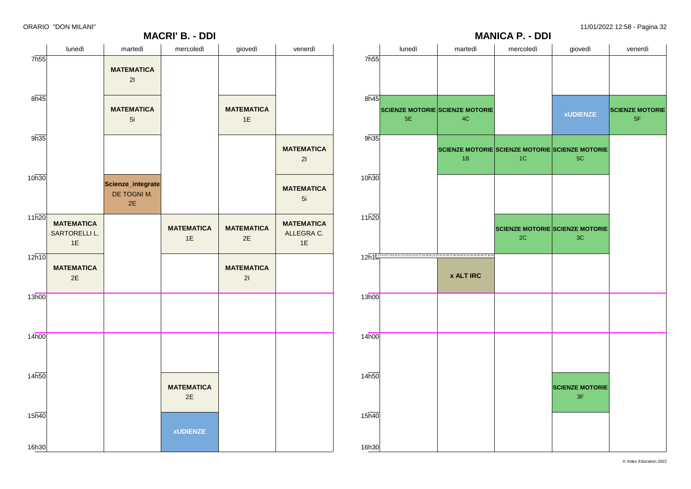# **MANICA P. - DDI** lunedì martedì mercoledì giovedì venerdì 7h55 8h45 9h35 10h30 11h20  $12$ h $1<sup>123456789101112131415161718192122324252627282930313233343536373839</sup>$ 13h00 14h00  $14<sub>h50</sub>$  $15h40$ 16h30 **SCIENZE MOTORIE SCIENZE MOTORIE** 5E 4C **SCIENZE MOTORIE SCIENZE MOTORIE SCIENZE MOTORIE** 1B **x ALT IRC** 1C **SCIENZE MOTORIE SCIENZE MOTORIE** 2C **xUDIENZE** 5C 3C **SCIENZE MOTORIE** 3F **SCIENZE MOTORIE** 5F

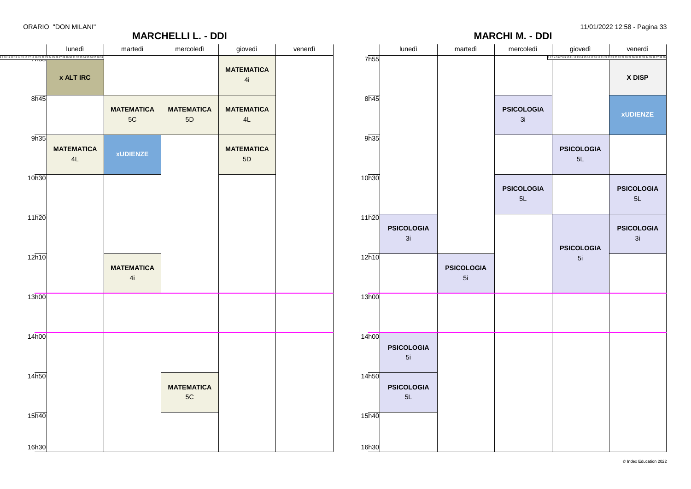|    |                   |                         |                         | <b>MARCHI M. - DDI</b>  |                                                                                | $- - - -$<br>-ت-        |
|----|-------------------|-------------------------|-------------------------|-------------------------|--------------------------------------------------------------------------------|-------------------------|
| íì |                   | lunedì                  | martedì                 | mercoledì               | giovedì<br>1234567891011121314151617181921222324252627282930313233343536373839 | venerdì                 |
|    | 7h55              |                         |                         |                         |                                                                                | X DISP                  |
|    | 8h45              |                         |                         | <b>PSICOLOGIA</b><br>3i |                                                                                | <b>xUDIENZE</b>         |
|    | 9h35              |                         |                         |                         | <b>PSICOLOGIA</b><br>5L                                                        |                         |
|    | 10h30             |                         |                         | <b>PSICOLOGIA</b><br>5L |                                                                                | <b>PSICOLOGIA</b><br>5L |
|    | 11h20             | <b>PSICOLOGIA</b><br>3i |                         |                         | <b>PSICOLOGIA</b>                                                              | <b>PSICOLOGIA</b><br>3i |
|    | 12h10             |                         | <b>PSICOLOGIA</b><br>5i |                         | 5i                                                                             |                         |
|    | 13h00             |                         |                         |                         |                                                                                |                         |
|    | 14 <sub>h00</sub> | <b>PSICOLOGIA</b><br>5i |                         |                         |                                                                                |                         |
|    | 14 <sub>h50</sub> | <b>PSICOLOGIA</b><br>5L |                         |                         |                                                                                |                         |
|    | 15h40             |                         |                         |                         |                                                                                |                         |
|    | 16h30             |                         |                         |                         |                                                                                |                         |

|                   | lunedì                                                                                                                         | martedì                 | mercoledì               | giovedì                 | venerdì |
|-------------------|--------------------------------------------------------------------------------------------------------------------------------|-------------------------|-------------------------|-------------------------|---------|
|                   | 8 9 10 11 12 13 14 15 16 17 18 19 21 22 23 24 25 26 27 28 29 30 31 32 33 34 35 36 37 38 31<br><b>IIIJJ</b><br><b>x ALT IRC</b> |                         |                         | <b>MATEMATICA</b><br>4i |         |
| 8h45              |                                                                                                                                | <b>MATEMATICA</b><br>5C | <b>MATEMATICA</b><br>5D | <b>MATEMATICA</b><br>4L |         |
| 9h35              | <b>MATEMATICA</b><br>4L                                                                                                        | <b>xUDIENZE</b>         |                         | <b>MATEMATICA</b><br>5D |         |
| 10h30             |                                                                                                                                |                         |                         |                         |         |
| 11h20             |                                                                                                                                |                         |                         |                         |         |
| 12h10             |                                                                                                                                | <b>MATEMATICA</b><br>4i |                         |                         |         |
| 13h00             |                                                                                                                                |                         |                         |                         |         |
| 14h00             |                                                                                                                                |                         |                         |                         |         |
| 14h50             |                                                                                                                                |                         | <b>MATEMATICA</b><br>5C |                         |         |
| 15 <sub>h40</sub> |                                                                                                                                |                         |                         |                         |         |
| 16h30             |                                                                                                                                |                         |                         |                         |         |

**MARCHELLI L. - DDI**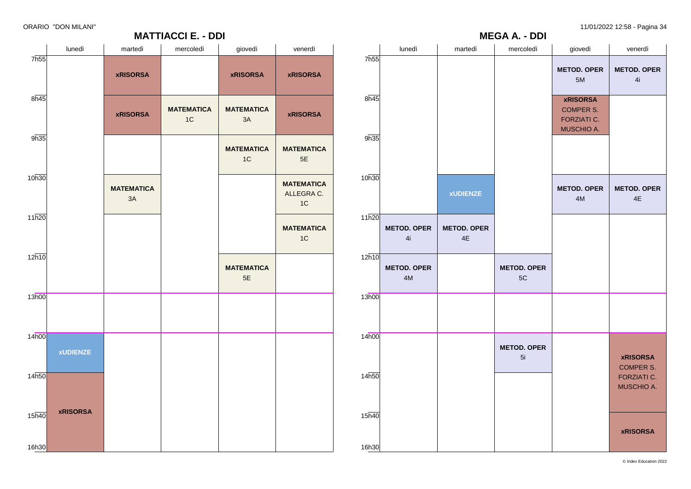| ORARIO "DON MILANI" |                   |           |                |           | 11/01/2022 12:58 - Pagina 34 |
|---------------------|-------------------|-----------|----------------|-----------|------------------------------|
|                     | <b>MATTIAOOLE</b> | <b>DD</b> | $\blacksquare$ | <b>DD</b> |                              |

|                   |                          |                          | <b>MEGA A. - DDI</b>     |                                                                  | $- - - -$                               |
|-------------------|--------------------------|--------------------------|--------------------------|------------------------------------------------------------------|-----------------------------------------|
|                   | lunedì                   | martedì                  | mercoledì                | giovedì                                                          | venerdì                                 |
| 7h55              |                          |                          |                          | <b>METOD. OPER</b><br>5M                                         | <b>METOD. OPER</b><br>4i                |
| 8h45              |                          |                          |                          | <b>xRISORSA</b><br><b>COMPER S.</b><br>FORZIATI C.<br>MUSCHIO A. |                                         |
| 9h35              |                          |                          |                          |                                                                  |                                         |
| 10h30             |                          | <b>xUDIENZE</b>          |                          | <b>METOD. OPER</b><br>4M                                         | <b>METOD. OPER</b><br>4E                |
| 11h20             | <b>METOD. OPER</b><br>4i | <b>METOD. OPER</b><br>4E |                          |                                                                  |                                         |
| 12h10             | <b>METOD. OPER</b><br>4M |                          | <b>METOD. OPER</b><br>5C |                                                                  |                                         |
| 13h00             |                          |                          |                          |                                                                  |                                         |
| 14 <sub>h00</sub> |                          |                          | <b>METOD. OPER</b><br>5i |                                                                  | <b>xRISORSA</b><br><b>COMPER S.</b>     |
| 14h50             |                          |                          |                          |                                                                  | <b>FORZIATI C.</b><br><b>MUSCHIO A.</b> |
| 15h40<br>16h30    |                          |                          |                          |                                                                  | <b>xRISORSA</b>                         |

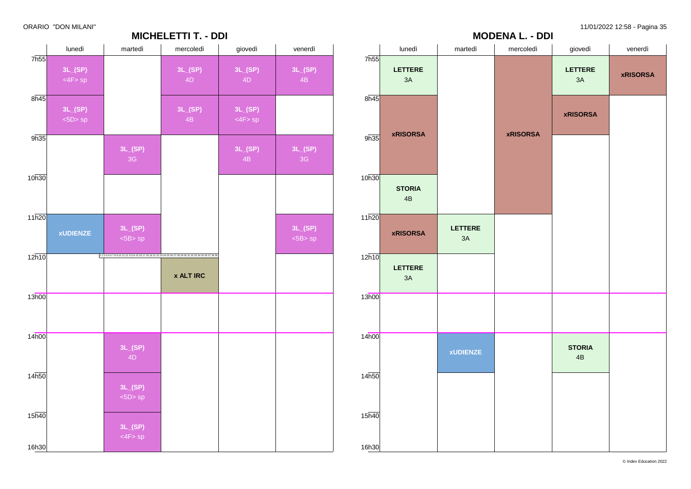

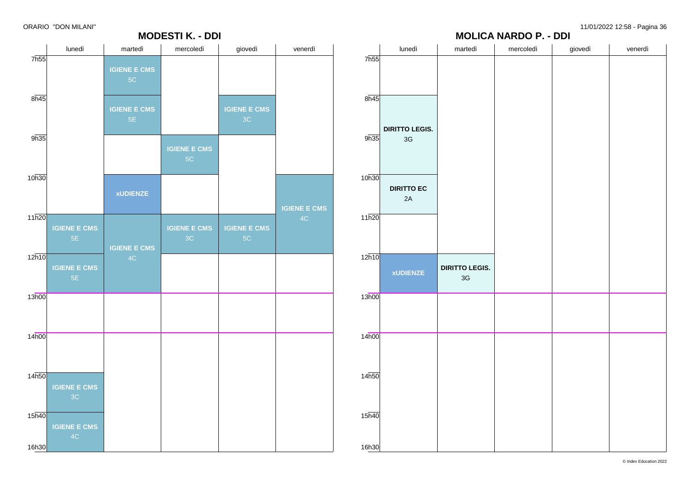# **MOLICA NARDO P. - DDI**

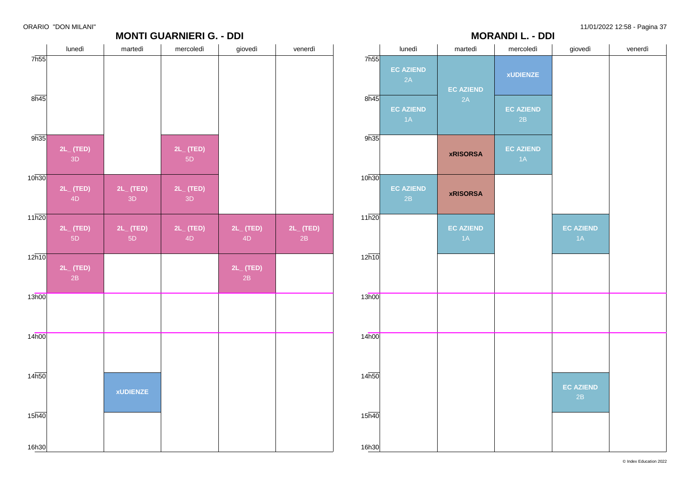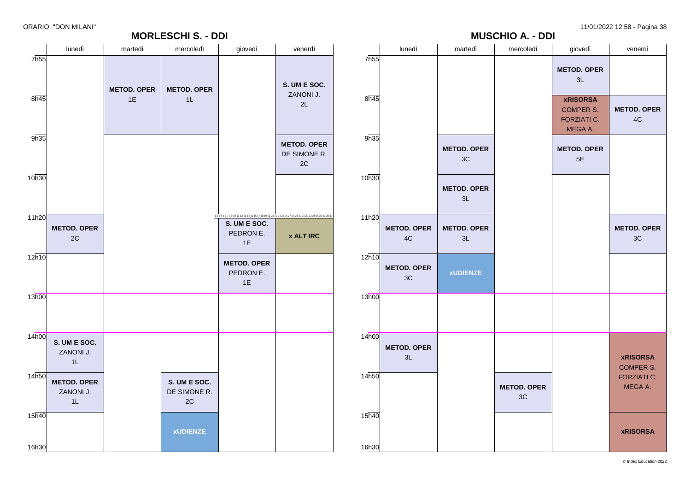# **MORLESCHI S. - DDI** lunedì | martedì | mercoledì | giovedì | venerdì |

|                | lunedì                   | martedì                  | mercoledì                | giovedì                                                       | venerdì                             |
|----------------|--------------------------|--------------------------|--------------------------|---------------------------------------------------------------|-------------------------------------|
| 7h55           |                          |                          |                          | <b>METOD. OPER</b><br>3L                                      |                                     |
| 8h45           |                          |                          |                          | <b>xRISORSA</b><br><b>COMPER S.</b><br>FORZIATI C.<br>MEGA A. | <b>METOD. OPER</b><br>4C            |
| 9h35           |                          | <b>METOD. OPER</b><br>3C |                          | <b>METOD. OPER</b><br>5E                                      |                                     |
| 10h30          |                          | <b>METOD. OPER</b><br>3L |                          |                                                               |                                     |
| 11h20          | <b>METOD. OPER</b><br>4C | <b>METOD. OPER</b><br>3L |                          |                                                               | <b>METOD. OPER</b><br>3C            |
| 12h10          | <b>METOD. OPER</b><br>3C | <b>xUDIENZE</b>          |                          |                                                               |                                     |
| 13h00          |                          |                          |                          |                                                               |                                     |
| 14h00          | <b>METOD. OPER</b><br>3L |                          |                          |                                                               | <b>xRISORSA</b><br><b>COMPER S.</b> |
| 14h50          |                          |                          | <b>METOD. OPER</b><br>3C |                                                               | FORZIATI C.<br>MEGA A.              |
| 15h40<br>16h30 |                          |                          |                          |                                                               | <b>xRISORSA</b>                     |

**MUSCHIO A. - DDI**

| 7h55              |                                       |                          |                                    |                                                                                                        |                                          |
|-------------------|---------------------------------------|--------------------------|------------------------------------|--------------------------------------------------------------------------------------------------------|------------------------------------------|
| $8\overline{h45}$ |                                       | <b>METOD. OPER</b><br>1E | <b>METOD. OPER</b><br>1L           |                                                                                                        | S. UM E SOC.<br>ZANONI J.<br>2L          |
| 9h35              |                                       |                          |                                    |                                                                                                        | <b>METOD. OPER</b><br>DE SIMONE R.<br>2C |
| 10h30             |                                       |                          |                                    |                                                                                                        |                                          |
| 11h20             | <b>METOD. OPER</b><br>2C              |                          |                                    | 1234567891011121314151617181921222324252627282930313233343536373839<br>S. UM E SOC.<br>PEDRON E.<br>1E | <b>x ALT IRC</b>                         |
| 12h10             |                                       |                          |                                    | <b>METOD. OPER</b><br>PEDRON E.<br>1E                                                                  |                                          |
| 13h00             |                                       |                          |                                    |                                                                                                        |                                          |
| 14h00             | S. UM E SOC.<br>ZANONI J.<br>1L       |                          |                                    |                                                                                                        |                                          |
| 14h50             | <b>METOD. OPER</b><br>ZANONI J.<br>1L |                          | S. UM E SOC.<br>DE SIMONE R.<br>2C |                                                                                                        |                                          |
| 15h40             |                                       |                          | <b>xUDIENZE</b>                    |                                                                                                        |                                          |
| 16h30             |                                       |                          |                                    |                                                                                                        |                                          |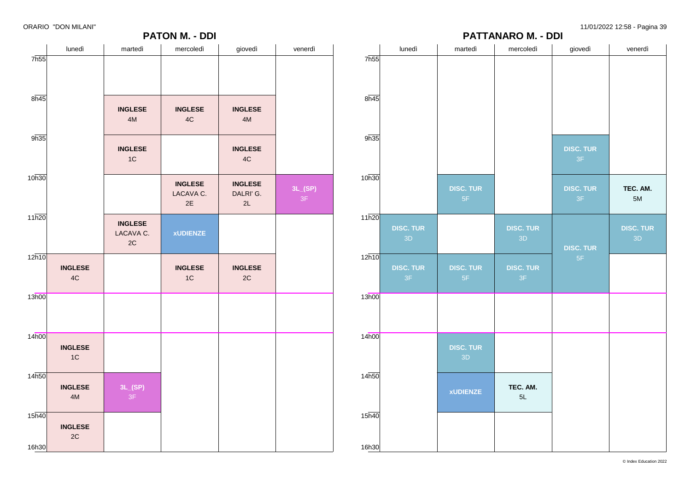**PATTANARO M. - DDI**



|                   | lunedì                 | martedì                           | mercoledì                         | giovedì                  | venerdì                |
|-------------------|------------------------|-----------------------------------|-----------------------------------|--------------------------|------------------------|
| 7h55              |                        |                                   |                                   |                          |                        |
| 8h45              |                        |                                   |                                   |                          |                        |
| 9h35              |                        |                                   |                                   | <b>DISC. TUR</b><br>$3F$ |                        |
| 10h30             |                        | <b>DISC. TUR</b><br>$5\mathsf{F}$ |                                   | <b>DISC. TUR</b><br>3F   | TEC. AM.<br>5M         |
| 11h20             | <b>DISC. TUR</b><br>3D |                                   | <b>DISC. TUR</b><br>3D            | <b>DISC. TUR</b>         | <b>DISC. TUR</b><br>3D |
| 12h10             | <b>DISC. TUR</b><br>3F | <b>DISC. TUR</b><br>$5\mathsf{F}$ | <b>DISC. TUR</b><br>$3\mathsf{F}$ | $5\mathsf{F}$            |                        |
| 13h00             |                        |                                   |                                   |                          |                        |
| 14h00             |                        | <b>DISC. TUR</b><br>3D            |                                   |                          |                        |
| 14 <sub>h50</sub> |                        | <b>xUDIENZE</b>                   | TEC. AM.<br>5L                    |                          |                        |
| 15 <sub>h40</sub> |                        |                                   |                                   |                          |                        |
| 16h30             |                        |                                   |                                   |                          |                        |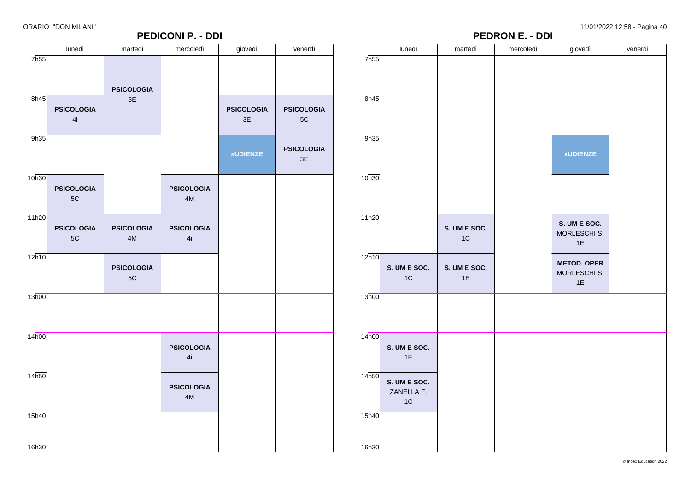| <b>PEDICONI P. - DDI</b> |                   |                                 |                   |                   |                   |                   | <b>PEDRON E. - DDI</b>     |                    |           |                    |         |
|--------------------------|-------------------|---------------------------------|-------------------|-------------------|-------------------|-------------------|----------------------------|--------------------|-----------|--------------------|---------|
|                          | lunedì            | martedì                         | mercoledì         | giovedì           | venerdì           |                   | lunedì                     | martedì            | mercoledì | giovedì            | venerdì |
| 7 <sub>h55</sub>         |                   |                                 |                   |                   |                   | 7h55              |                            |                    |           |                    |         |
|                          |                   |                                 |                   |                   |                   |                   |                            |                    |           |                    |         |
|                          |                   | <b>PSICOLOGIA</b>               |                   |                   |                   |                   |                            |                    |           |                    |         |
| 8h45                     |                   | 3E                              |                   |                   |                   | 8h45              |                            |                    |           |                    |         |
|                          | <b>PSICOLOGIA</b> |                                 |                   | <b>PSICOLOGIA</b> | <b>PSICOLOGIA</b> |                   |                            |                    |           |                    |         |
|                          | 4i                |                                 |                   | $3\mathsf{E}$     | $5C$              |                   |                            |                    |           |                    |         |
| 9h35                     |                   |                                 |                   |                   |                   | 9h35              |                            |                    |           |                    |         |
|                          |                   |                                 |                   |                   | <b>PSICOLOGIA</b> |                   |                            |                    |           |                    |         |
|                          |                   |                                 |                   | <b>xUDIENZE</b>   | 3E                |                   |                            |                    |           | <b>xUDIENZE</b>    |         |
| 10h30                    |                   |                                 |                   |                   |                   | 10h30             |                            |                    |           |                    |         |
|                          | <b>PSICOLOGIA</b> |                                 | <b>PSICOLOGIA</b> |                   |                   |                   |                            |                    |           |                    |         |
|                          | $5{\rm C}$        |                                 | $4M$              |                   |                   |                   |                            |                    |           |                    |         |
|                          |                   |                                 |                   |                   |                   |                   |                            |                    |           |                    |         |
| 11h20                    | <b>PSICOLOGIA</b> | <b>PSICOLOGIA</b>               | <b>PSICOLOGIA</b> |                   |                   | 11h20             |                            | S. UM E SOC.       |           | S. UM E SOC.       |         |
|                          | $5C$              | $4M$                            | 4i                |                   |                   |                   |                            | 1C                 |           | MORLESCHI S.       |         |
|                          |                   |                                 |                   |                   |                   |                   |                            |                    |           | 1E                 |         |
| 12h10                    |                   |                                 |                   |                   |                   | 12h10             |                            |                    |           | <b>METOD. OPER</b> |         |
|                          |                   | <b>PSICOLOGIA</b><br>$5{\rm C}$ |                   |                   |                   |                   | S. UM E SOC.<br>1C         | S. UM E SOC.<br>1E |           | MORLESCHI S.       |         |
|                          |                   |                                 |                   |                   |                   |                   |                            |                    |           | 1E                 |         |
| 13h00                    |                   |                                 |                   |                   |                   | 13h00             |                            |                    |           |                    |         |
|                          |                   |                                 |                   |                   |                   |                   |                            |                    |           |                    |         |
|                          |                   |                                 |                   |                   |                   |                   |                            |                    |           |                    |         |
| 14h00                    |                   |                                 |                   |                   |                   | 14h00             |                            |                    |           |                    |         |
|                          |                   |                                 | <b>PSICOLOGIA</b> |                   |                   |                   | S. UM E SOC.               |                    |           |                    |         |
|                          |                   |                                 | 4i                |                   |                   |                   | 1E                         |                    |           |                    |         |
| 14 <sub>h50</sub>        |                   |                                 |                   |                   |                   | 14 <sub>h50</sub> |                            |                    |           |                    |         |
|                          |                   |                                 | <b>PSICOLOGIA</b> |                   |                   |                   | S. UM E SOC.<br>ZANELLA F. |                    |           |                    |         |
|                          |                   |                                 | $4M$              |                   |                   |                   | 1C                         |                    |           |                    |         |
| $15\overline{h40}$       |                   |                                 |                   |                   |                   | 15 <sub>h40</sub> |                            |                    |           |                    |         |
|                          |                   |                                 |                   |                   |                   |                   |                            |                    |           |                    |         |
|                          |                   |                                 |                   |                   |                   |                   |                            |                    |           |                    |         |
| 16h30                    |                   |                                 |                   |                   |                   | 16h30             |                            |                    |           |                    |         |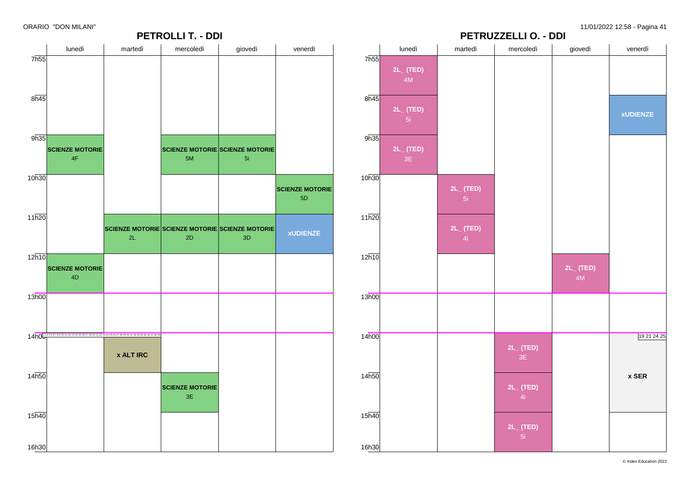

19 21 24 25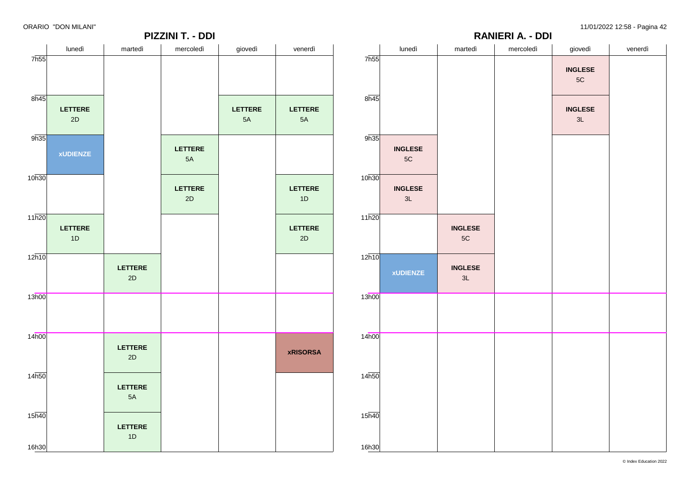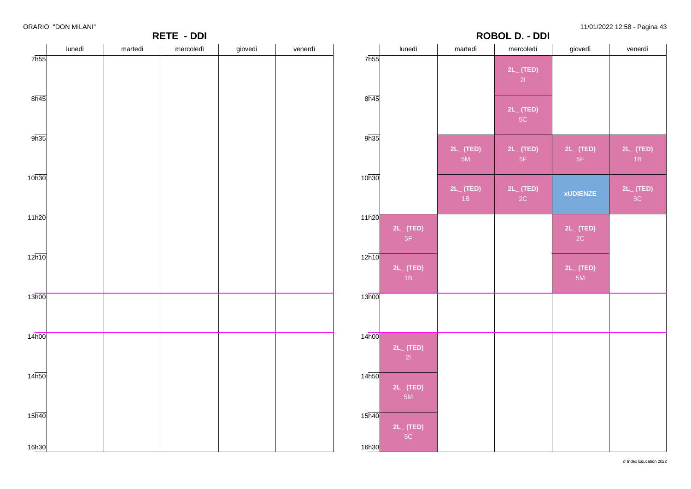|                    | ------- --------<br>RETE - DDI |         |           |         |         |                    | <b>ROBOL D. - DDI</b>       |                  |                      |                       |                      |
|--------------------|--------------------------------|---------|-----------|---------|---------|--------------------|-----------------------------|------------------|----------------------|-----------------------|----------------------|
|                    | lunedì                         | martedì | mercoledì | giovedì | venerdì |                    | lunedì                      | martedì          | mercoledì            | giovedì               | venerdì              |
| 7h55               |                                |         |           |         |         | 7h55               |                             |                  | $2L_{-}$ (TED)       |                       |                      |
|                    |                                |         |           |         |         |                    |                             |                  | 2                    |                       |                      |
| 8h45               |                                |         |           |         |         | 8h45               |                             |                  |                      |                       |                      |
|                    |                                |         |           |         |         |                    |                             |                  | $2L_{-}$ (TED)<br>5C |                       |                      |
|                    |                                |         |           |         |         |                    |                             |                  |                      |                       |                      |
| 9h35               |                                |         |           |         |         | 9h35               |                             | $2L_{-}$ (TED)   | $2L$ (TED)           | $2L_{-}$ (TED)        | $2L_{-}$ (TED)       |
|                    |                                |         |           |         |         |                    |                             | 5M               | 5F                   | 5F                    | 1B                   |
| 10h30              |                                |         |           |         |         | 10h30              |                             |                  |                      |                       |                      |
|                    |                                |         |           |         |         |                    |                             | $2L$ (TED)<br>1B | $2L_{-}$ (TED)<br>2C | <b>xUDIENZE</b>       | $2L_{-}$ (TED)<br>5C |
| $11\overline{h20}$ |                                |         |           |         |         | $11\overline{h20}$ |                             |                  |                      |                       |                      |
|                    |                                |         |           |         |         |                    | $2L_{-}$ (TED)              |                  |                      | $2L$ <sub>(TED)</sub> |                      |
|                    |                                |         |           |         |         |                    | 5F                          |                  |                      | 2C                    |                      |
| $12\overline{h10}$ |                                |         |           |         |         | $12\overline{h10}$ |                             |                  |                      |                       |                      |
|                    |                                |         |           |         |         |                    | $2L$ <sub>(TED)</sub><br>1B |                  |                      | $2L_{-}$ (TED)<br>5M  |                      |
| 13h00              |                                |         |           |         |         | 13h00              |                             |                  |                      |                       |                      |
|                    |                                |         |           |         |         |                    |                             |                  |                      |                       |                      |
|                    |                                |         |           |         |         |                    |                             |                  |                      |                       |                      |
| 14h00              |                                |         |           |         |         | 14h00              | $2L_{-}$ (TED)              |                  |                      |                       |                      |
|                    |                                |         |           |         |         |                    | 21                          |                  |                      |                       |                      |
| 14 <sub>h50</sub>  |                                |         |           |         |         | 14h50              |                             |                  |                      |                       |                      |
|                    |                                |         |           |         |         |                    | $2L_{-}$ (TED)<br>5M        |                  |                      |                       |                      |
|                    |                                |         |           |         |         |                    |                             |                  |                      |                       |                      |
| 15 <sub>h40</sub>  |                                |         |           |         |         | $15\overline{h40}$ | $2L_{-}$ (TED)              |                  |                      |                       |                      |
|                    |                                |         |           |         |         |                    | 5C                          |                  |                      |                       |                      |
| 16h30              |                                |         |           |         |         | 16h30              |                             |                  |                      |                       |                      |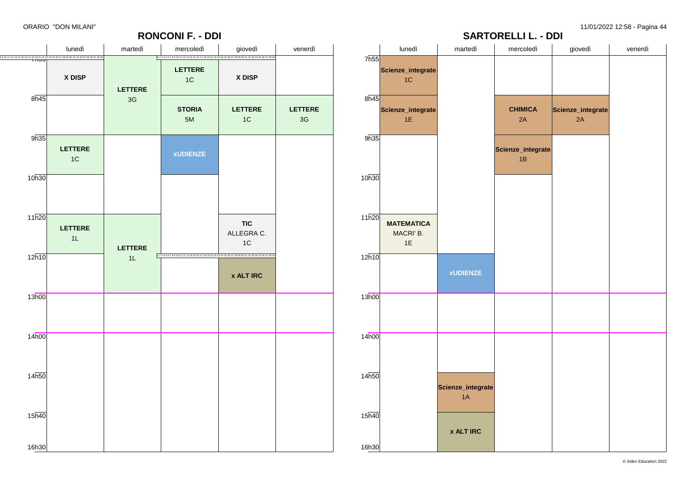

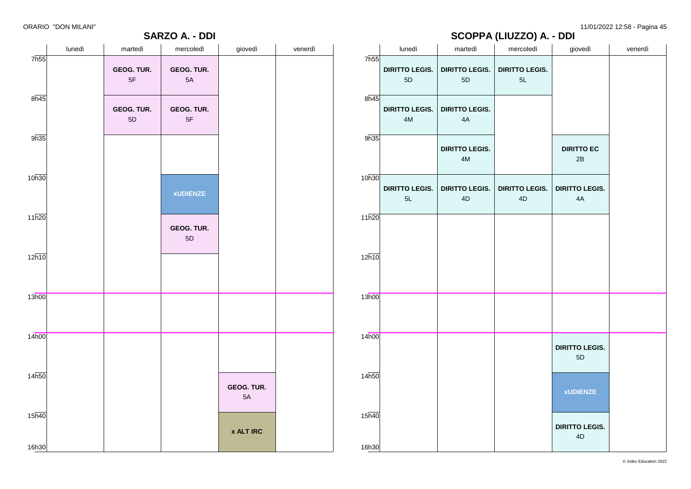**SARZO A. - DDI**

ORARIO "DON MILANI" 11/01/2022 12:58 - Pagina 45

# **SCOPPA (LIUZZO) A. - DDI**

|                    | lunedì | martedì          | mercoledì                   | giovedì          | venerdì |                    | lunedì                        | martedì                                | $\overline{\phantom{a}}$<br>mercoledì | giovedì                            | venerdì |
|--------------------|--------|------------------|-----------------------------|------------------|---------|--------------------|-------------------------------|----------------------------------------|---------------------------------------|------------------------------------|---------|
| 7h55               |        | GEOG. TUR.<br>5F | GEOG. TUR.<br>$5A$          |                  |         | 7 <sub>h55</sub>   | <b>DIRITTO LEGIS.</b><br>5D   | <b>DIRITTO LEGIS.</b><br>$5D$          | <b>DIRITTO LEGIS.</b><br>5L           |                                    |         |
| $8\overline{h45}$  |        | GEOG. TUR.<br>5D | GEOG. TUR.<br>$5\mathsf{F}$ |                  |         | $8\overline{n45}$  | <b>DIRITTO LEGIS.</b><br>$4M$ | <b>DIRITTO LEGIS.</b><br>4A            |                                       |                                    |         |
| 9h35               |        |                  |                             |                  |         | 9h35               |                               | <b>DIRITTO LEGIS.</b><br>$4\mathsf{M}$ |                                       | <b>DIRITTO EC</b><br>$2\mathsf{B}$ |         |
| 10h30              |        |                  | <b>xUDIENZE</b>             |                  |         | 10h30              | <b>DIRITTO LEGIS.</b><br>$5L$ | <b>DIRITTO LEGIS.</b><br>$4\mathsf{D}$ | <b>DIRITTO LEGIS.</b><br>4D           | <b>DIRITTO LEGIS.</b><br>4A        |         |
| 11h20              |        |                  | GEOG. TUR.<br>$5\mathsf{D}$ |                  |         | 11h20              |                               |                                        |                                       |                                    |         |
| $12\overline{h10}$ |        |                  |                             |                  |         | 12h10              |                               |                                        |                                       |                                    |         |
| 13h00              |        |                  |                             |                  |         | 13h00              |                               |                                        |                                       |                                    |         |
| 14h00              |        |                  |                             |                  |         | 14 <sub>h00</sub>  |                               |                                        |                                       | <b>DIRITTO LEGIS.</b><br>5D        |         |
| 14h50              |        |                  |                             | GEOG. TUR.<br>5A |         | 14h50              |                               |                                        |                                       | <b>xUDIENZE</b>                    |         |
| $15\overline{h40}$ |        |                  |                             | <b>x ALT IRC</b> |         | $15\overline{h40}$ |                               |                                        |                                       | <b>DIRITTO LEGIS.</b><br>4D        |         |
| 16h30              |        |                  |                             |                  |         | 16h30              |                               |                                        |                                       |                                    |         |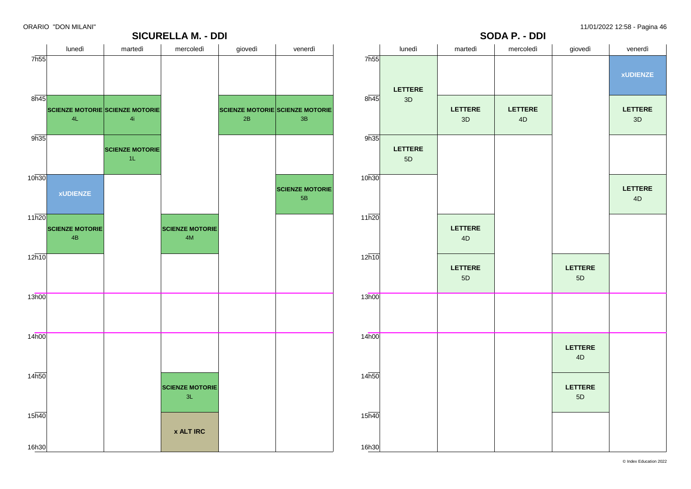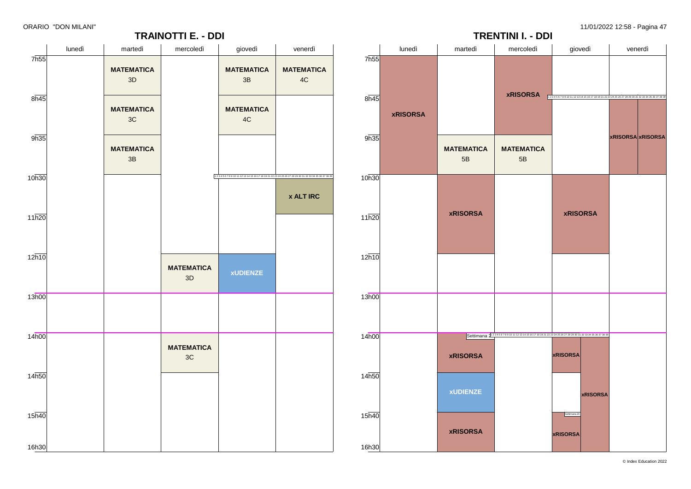

7h55

 $8h45$ 

9h35

10h30

11h20

 $12h10$ 

13h00

14h00

14h50

15h40

16h30



**TRAINOTTI E. - DDI**



© Index Education 2022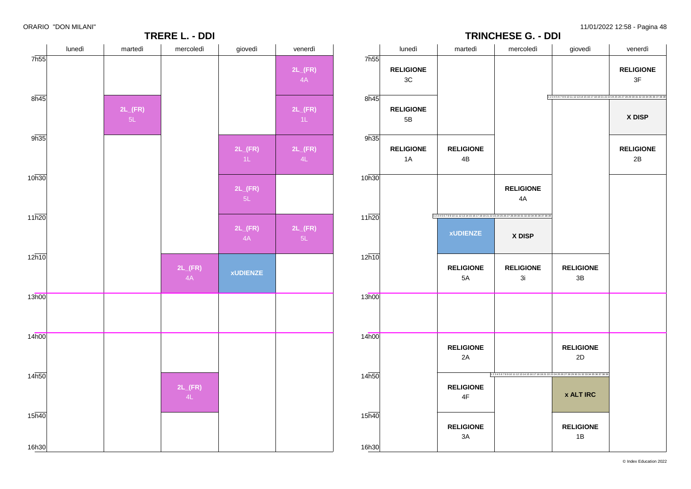**TRERE L. - DDI** lunedì martedì mercoledì giovedì venerdì 7h55 8h45 9h35 10h30 11h20  $12h10$ 13h00 14h00 14h50 15h40 16h30 **2L\_(FR) 2L\_(FR)** 4A **2L\_(FR) 2L\_(FR) 2L\_(FR)** 5L **2L\_(FR) xUDIENZE 2L\_(FR)** 4A **2L\_(FR) 2L\_(FR) 2L\_(FR)** 5L **TRINCHESE G. - DDI** lunedì martedì mercoledì giovedì venerdì 7h55 8h45 9h35 10h30 11h20  $12h10$ 13h00 14h00  $14<sub>h50</sub>$ 15h40 16h30 **RELIGIONE** 3C **RELIGIONE** 5B **RELIGIONE** 1A **RELIGIONE** 4B **xUDIENZE RELIGIONE** 5A **RELIGIONE** 2A **RELIGIONE** 4F **RELIGIONE** 3A **RELIGIONE** 4A 1 2 3 4 5 6 7 8 9 10 11 12 13 14 15 16 17 18 19 21 22 23 24 25 26 27 28 29 30 31 32 33 34 35 36 37 38 39 **X DISP RELIGIONE** 3i **RELIGIONE** 3B **RELIGIONE** 2D 1 2 3 4 5 6 7 8 9 10 11 12 13 14 15 16 17 18 19 21 22 23 24 25 26 27 28 29 30 31 32 33 34 35 36 37 38 39 **x ALT IRC RELIGIONE** 1B **RELIGIONE** 3F 1 2 3 4 5 6 7 8 9 10 11 12 13 14 15 16 17 18 19 21 22 23 24 25 26 27 28 29 30 31 32 33 34 35 36 37 38 39 **X DISP RELIGIONE** 2B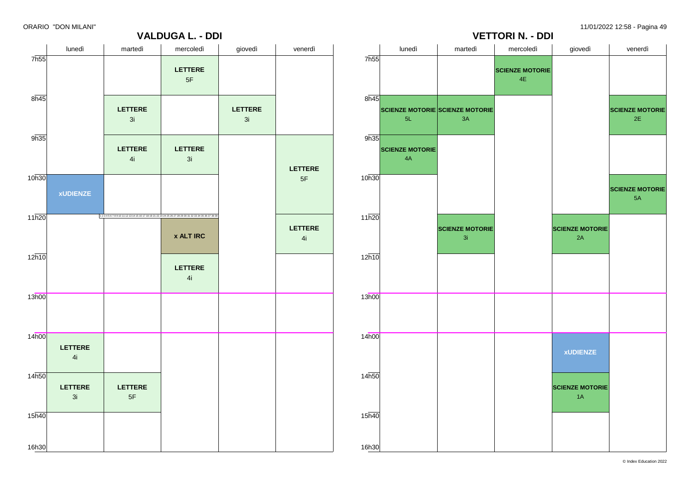2E

5A



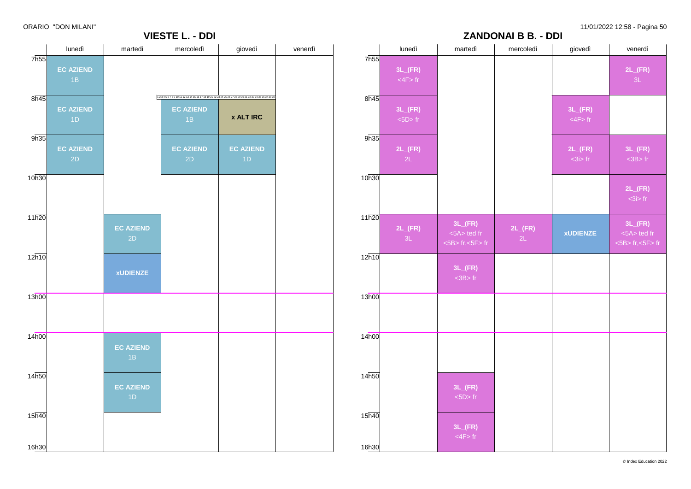**2L\_(FR)**  $-3L$ 

**3L\_(FR)** <3B> fr

**2L\_(FR)**

**3L\_(FR)** <5A> ted fr <5B> fr,<5F> fr

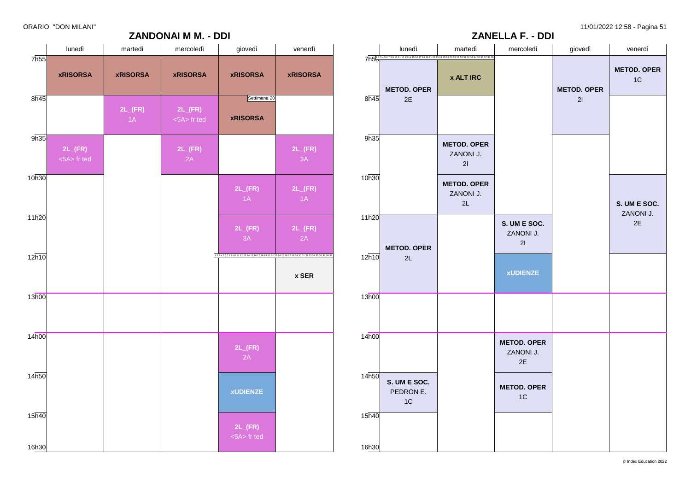11/01/2022 12:58 - Pagina 51

|  | ORARIO "DON MILANI" |  |  |  |  |
|--|---------------------|--|--|--|--|
|--|---------------------|--|--|--|--|

|                   | lunedì                              | martedì                    | mercoledì                                    | giovedì                                                                                                  | venerdì                    |
|-------------------|-------------------------------------|----------------------------|----------------------------------------------|----------------------------------------------------------------------------------------------------------|----------------------------|
| 7h55              | <b>xRISORSA</b>                     | <b>xRISORSA</b>            | <b>xRISORSA</b>                              | <b>xRISORSA</b>                                                                                          | <b>xRISORSA</b>            |
| $8\overline{h45}$ |                                     | $2L$ <sub>(FR)</sub><br>1A | $2L$ <sub>(FR)</sub><br>$\leq$ 5A $>$ fr ted | Settimana 20<br><b>xRISORSA</b>                                                                          |                            |
| 9h35              | $2L$ <sub>(FR)</sub><br><5A> fr ted |                            | $2L$ <sub>(FR)</sub><br>2A                   |                                                                                                          | $2L$ <sub>(FR)</sub><br>3A |
| 10h30             |                                     |                            |                                              | $2L$ <sub>(FR)</sub><br>1A                                                                               | $2L$ <sub>(FR)</sub><br>1A |
| 11h20             |                                     |                            |                                              | $2L$ <sub>(FR)</sub><br>3A                                                                               | $2L$ <sub>(FR)</sub><br>2A |
| 12h10             |                                     |                            |                                              | 1 2 3 4 5 6 7 8 9 10 11 12 13 14 15 16 17 18 19 21 22 23 24 25 26 27 28 29 30 31 32 33 34 35 36 37 38 39 | x SER                      |
| 13h00             |                                     |                            |                                              |                                                                                                          |                            |
|                   |                                     |                            |                                              |                                                                                                          |                            |
| 14h00             |                                     |                            |                                              | $2L$ <sub>(FR)</sub><br>2A                                                                               |                            |
| 14h50             |                                     |                            |                                              | <b>xUDIENZE</b>                                                                                          |                            |

|                   | lunedì                                                                                            | martedì                                     | mercoledì                             | giovedì                  | venerdì                  |
|-------------------|---------------------------------------------------------------------------------------------------|---------------------------------------------|---------------------------------------|--------------------------|--------------------------|
| 8h45              | 7h5123456789101112131415161718192122324252627282930313233343536373836<br><b>METOD. OPER</b><br>2E | <b>x ALT IRC</b>                            |                                       | <b>METOD. OPER</b><br>21 | <b>METOD. OPER</b><br>1C |
| 9h35              |                                                                                                   | <b>METOD. OPER</b><br>ZANONI J.             |                                       |                          |                          |
| 10h30             |                                                                                                   | 21<br><b>METOD. OPER</b><br>ZANONI J.<br>2L |                                       |                          | S. UM E SOC.             |
| 11h20             | <b>METOD. OPER</b>                                                                                |                                             | S. UM E SOC.<br>ZANONI J.<br>21       |                          | ZANONI J.<br>2E          |
| 12h10             | 2L                                                                                                |                                             | <b>xUDIENZE</b>                       |                          |                          |
| 13h00             |                                                                                                   |                                             |                                       |                          |                          |
| 14 <sub>h00</sub> |                                                                                                   |                                             | <b>METOD. OPER</b><br>ZANONI J.<br>2E |                          |                          |
| 14h50             | S. UM E SOC.<br>PEDRON E.<br>1C                                                                   |                                             | <b>METOD. OPER</b><br>1C              |                          |                          |
| 15h40             |                                                                                                   |                                             |                                       |                          |                          |
| 16h30             |                                                                                                   |                                             |                                       |                          |                          |

**ZANELLA F. - DDI**